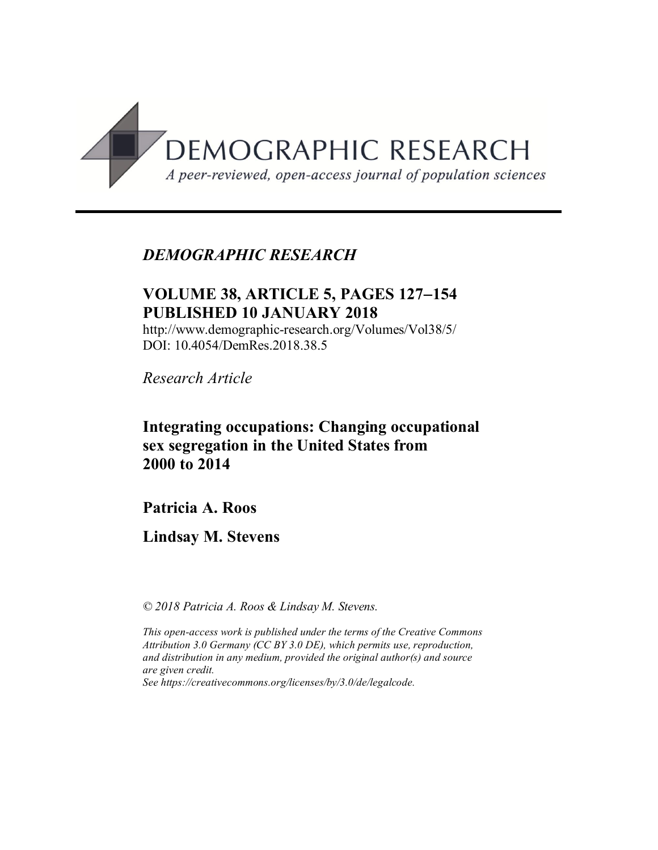

# *DEMOGRAPHIC RESEARCH*

# **VOLUME 38, ARTICLE 5, PAGES 127-154 PUBLISHED 10 JANUARY 2018**

http://www.demographic-research.org/Volumes/Vol38/5/ DOI: 10.4054/DemRes.2018.38.5

*Research Article*

# **Integrating occupations: Changing occupational sex segregation in the United States from 2000 to 2014**

**Patricia A. Roos**

**Lindsay M. Stevens**

*© 2018 Patricia A. Roos & Lindsay M. Stevens.*

*This open-access work is published under the terms of the Creative Commons Attribution 3.0 Germany (CC BY 3.0 DE), which permits use, reproduction, and distribution in any medium, provided the original author(s) and source are given credit.*

*See [https://creativecommons.org/licenses/by/3.0/de/legalcode.](https://creativecommons.org/licenses/by/3.0/de/legalcode)*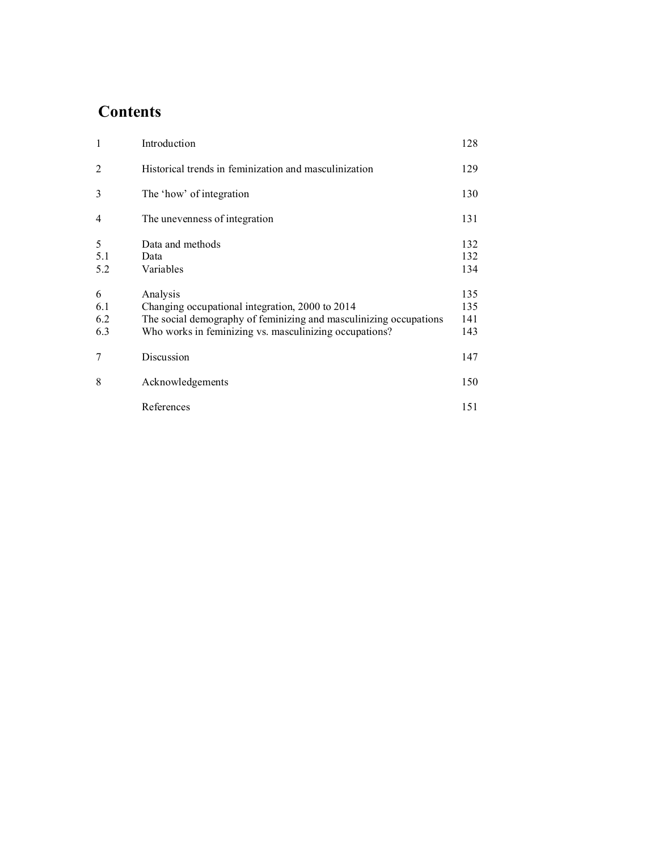# **Contents**

| $\mathbf{1}$           | Introduction                                                                                                                                                                               | 128                      |
|------------------------|--------------------------------------------------------------------------------------------------------------------------------------------------------------------------------------------|--------------------------|
| $\overline{2}$         | Historical trends in feminization and masculinization                                                                                                                                      | 129                      |
| 3                      | The 'how' of integration                                                                                                                                                                   | 130                      |
| $\overline{4}$         | The unevenness of integration                                                                                                                                                              | 131                      |
| 5<br>5.1<br>5.2        | Data and methods<br>Data<br>Variables                                                                                                                                                      | 132<br>132<br>134        |
| 6<br>6.1<br>6.2<br>6.3 | Analysis<br>Changing occupational integration, 2000 to 2014<br>The social demography of feminizing and masculinizing occupations<br>Who works in feminizing vs. masculinizing occupations? | 135<br>135<br>141<br>143 |
| 7                      | Discussion                                                                                                                                                                                 | 147                      |
| 8                      | Acknowledgements                                                                                                                                                                           | 150                      |
|                        | References                                                                                                                                                                                 | 151                      |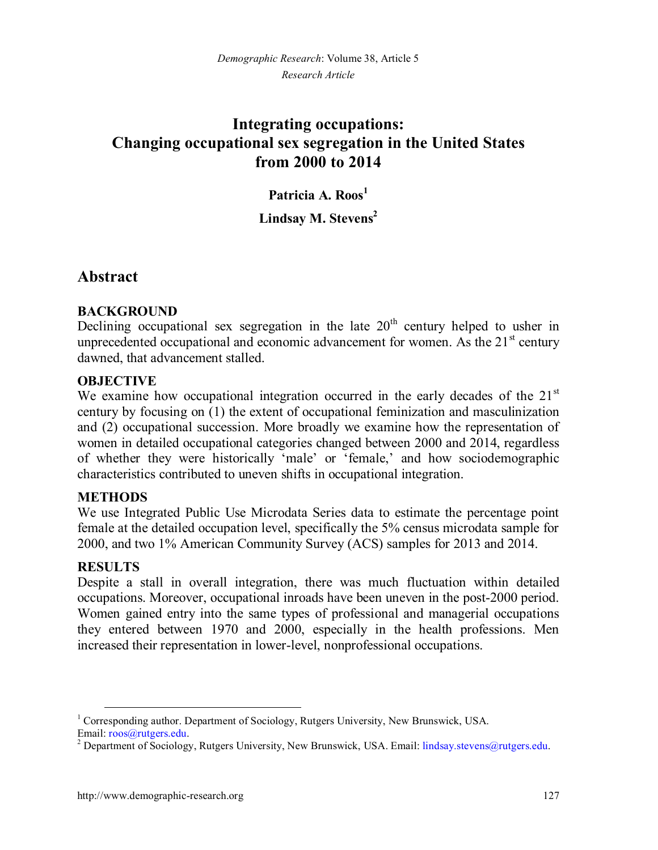# **Integrating occupations: Changing occupational sex segregation in the United States from 2000 to 2014**

**Patricia A. Roos[1](#page-2-0)**

**Lindsay M. Stevens[2](#page-2-1)**

# **Abstract**

### **BACKGROUND**

Declining occupational sex segregation in the late  $20<sup>th</sup>$  century helped to usher in unprecedented occupational and economic advancement for women. As the  $21<sup>st</sup>$  century dawned, that advancement stalled.

### **OBJECTIVE**

We examine how occupational integration occurred in the early decades of the  $21<sup>st</sup>$ century by focusing on (1) the extent of occupational feminization and masculinization and (2) occupational succession. More broadly we examine how the representation of women in detailed occupational categories changed between 2000 and 2014, regardless of whether they were historically 'male' or 'female,' and how sociodemographic characteristics contributed to uneven shifts in occupational integration.

#### **METHODS**

We use Integrated Public Use Microdata Series data to estimate the percentage point female at the detailed occupation level, specifically the 5% census microdata sample for 2000, and two 1% American Community Survey (ACS) samples for 2013 and 2014.

### **RESULTS**

Despite a stall in overall integration, there was much fluctuation within detailed occupations. Moreover, occupational inroads have been uneven in the post-2000 period. Women gained entry into the same types of professional and managerial occupations they entered between 1970 and 2000, especially in the health professions. Men increased their representation in lower-level, nonprofessional occupations.

<span id="page-2-0"></span><sup>&</sup>lt;sup>1</sup> Corresponding author. Department of Sociology, Rutgers University, New Brunswick, USA. Email: [roos@rutgers.edu.](mailto:roos@rutgers.edu)

<span id="page-2-1"></span><sup>&</sup>lt;sup>2</sup> Department of Sociology, Rutgers University, New Brunswick, USA. Email: l[indsay.stevens@rutgers.edu.](mailto:lindsay.stevens@rutgers.edu)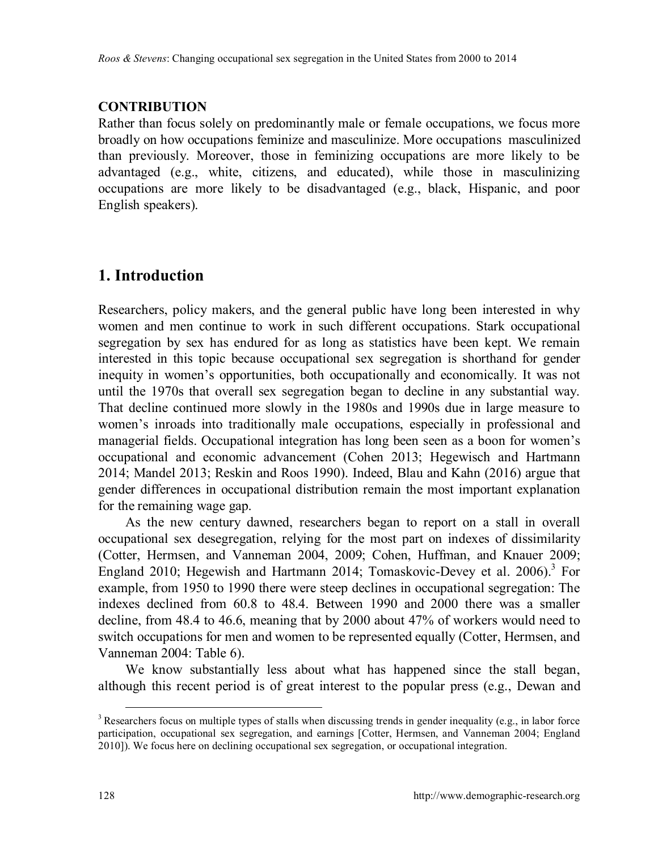### **CONTRIBUTION**

Rather than focus solely on predominantly male or female occupations, we focus more broadly on how occupations feminize and masculinize. More occupations masculinized than previously. Moreover, those in feminizing occupations are more likely to be advantaged (e.g., white, citizens, and educated), while those in masculinizing occupations are more likely to be disadvantaged (e.g., black, Hispanic, and poor English speakers).

# **1. Introduction**

Researchers, policy makers, and the general public have long been interested in why women and men continue to work in such different occupations. Stark occupational segregation by sex has endured for as long as statistics have been kept. We remain interested in this topic because occupational sex segregation is shorthand for gender inequity in women's opportunities, both occupationally and economically. It was not until the 1970s that overall sex segregation began to decline in any substantial way. That decline continued more slowly in the 1980s and 1990s due in large measure to women's inroads into traditionally male occupations, especially in professional and managerial fields. Occupational integration has long been seen as a boon for women's occupational and economic advancement (Cohen 2013; Hegewisch and Hartmann 2014; Mandel 2013; Reskin and Roos 1990). Indeed, Blau and Kahn (2016) argue that gender differences in occupational distribution remain the most important explanation for the remaining wage gap.

As the new century dawned, researchers began to report on a stall in overall occupational sex desegregation, relying for the most part on indexes of dissimilarity (Cotter, Hermsen, and Vanneman 2004, 2009; Cohen, Huffman, and Knauer 2009; England2010; Hegewish and Hartmann 2014; Tomaskovic-Devey et al. 2006).<sup>3</sup> For example, from 1950 to 1990 there were steep declines in occupational segregation: The indexes declined from 60.8 to 48.4. Between 1990 and 2000 there was a smaller decline, from 48.4 to 46.6, meaning that by 2000 about 47% of workers would need to switch occupations for men and women to be represented equally (Cotter, Hermsen, and Vanneman 2004: Table 6).

We know substantially less about what has happened since the stall began, although this recent period is of great interest to the popular press (e.g., Dewan and

<span id="page-3-0"></span> $3$  Researchers focus on multiple types of stalls when discussing trends in gender inequality (e.g., in labor force participation, occupational sex segregation, and earnings [Cotter, Hermsen, and Vanneman 2004; England 2010]). We focus here on declining occupational sex segregation, or occupational integration.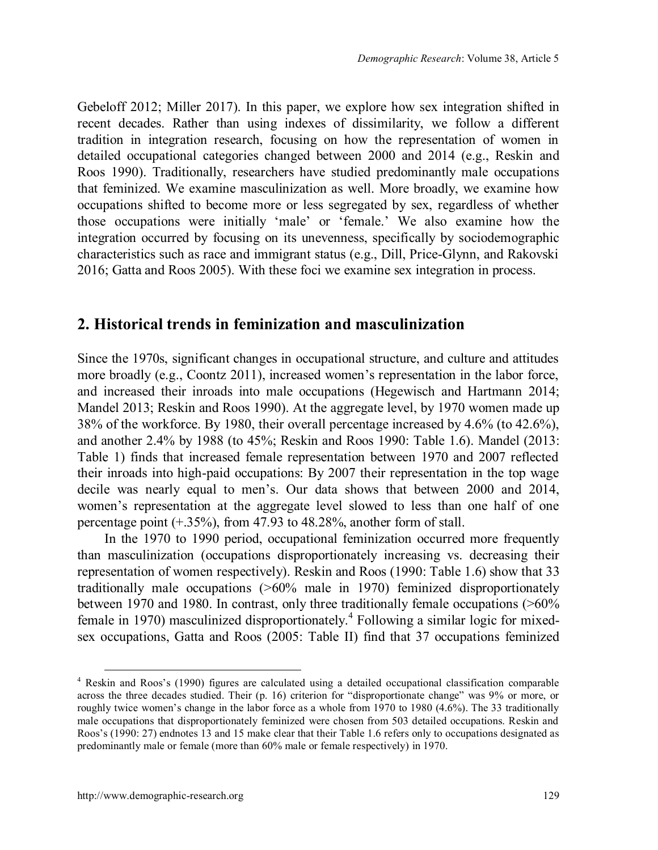Gebeloff 2012; Miller 2017). In this paper, we explore how sex integration shifted in recent decades. Rather than using indexes of dissimilarity, we follow a different tradition in integration research, focusing on how the representation of women in detailed occupational categories changed between 2000 and 2014 (e.g., Reskin and Roos 1990). Traditionally, researchers have studied predominantly male occupations that feminized. We examine masculinization as well. More broadly, we examine how occupations shifted to become more or less segregated by sex, regardless of whether those occupations were initially 'male' or 'female.' We also examine how the integration occurred by focusing on its unevenness, specifically by sociodemographic characteristics such as race and immigrant status (e.g., Dill, Price-Glynn, and Rakovski 2016; Gatta and Roos 2005). With these foci we examine sex integration in process.

## **2. Historical trends in feminization and masculinization**

Since the 1970s, significant changes in occupational structure, and culture and attitudes more broadly (e.g., Coontz 2011), increased women's representation in the labor force, and increased their inroads into male occupations (Hegewisch and Hartmann 2014; Mandel 2013; Reskin and Roos 1990). At the aggregate level, by 1970 women made up 38% of the workforce. By 1980, their overall percentage increased by 4.6% (to 42.6%), and another 2.4% by 1988 (to 45%; Reskin and Roos 1990: Table 1.6). Mandel (2013: Table 1) finds that increased female representation between 1970 and 2007 reflected their inroads into high-paid occupations: By 2007 their representation in the top wage decile was nearly equal to men's. Our data shows that between 2000 and 2014, women's representation at the aggregate level slowed to less than one half of one percentage point (+.35%), from 47.93 to 48.28%, another form of stall.

In the 1970 to 1990 period, occupational feminization occurred more frequently than masculinization (occupations disproportionately increasing vs. decreasing their representation of women respectively). Reskin and Roos (1990: Table 1.6) show that 33 traditionally male occupations (>60% male in 1970) feminized disproportionately between 1970 and 1980. In contrast, only three traditionally female occupations (>60% female in 1970) masculinized disproportionately.<sup>4</sup> [F](#page-4-0)ollowing a similar logic for mixedsex occupations, Gatta and Roos (2005: Table II) find that 37 occupations feminized

<span id="page-4-0"></span><sup>4</sup> Reskin and Roos's (1990) figures are calculated using a detailed occupational classification comparable across the three decades studied. Their (p. 16) criterion for "disproportionate change" was 9% or more, or roughly twice women's change in the labor force as a whole from 1970 to 1980 (4.6%). The 33 traditionally male occupations that disproportionately feminized were chosen from 503 detailed occupations. Reskin and Roos's (1990: 27) endnotes 13 and 15 make clear that their Table 1.6 refers only to occupations designated as predominantly male or female (more than 60% male or female respectively) in 1970.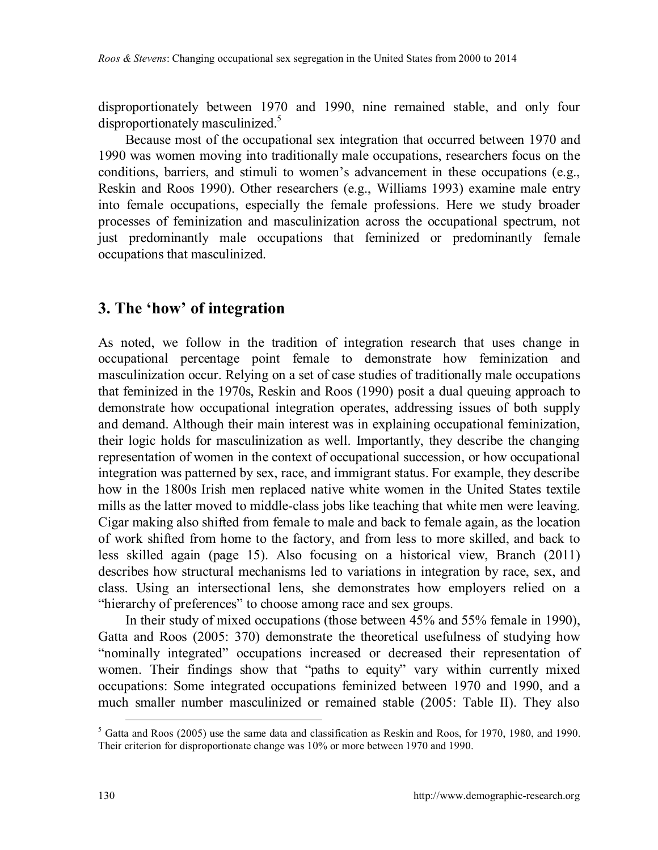disproportionately between 1970 and 1990, nine remained stable, and only four disproportionately masculinized.<sup>[5](#page-5-0)</sup>

Because most of the occupational sex integration that occurred between 1970 and 1990 was women moving into traditionally male occupations, researchers focus on the conditions, barriers, and stimuli to women's advancement in these occupations (e.g., Reskin and Roos 1990). Other researchers (e.g., Williams 1993) examine male entry into female occupations, especially the female professions. Here we study broader processes of feminization and masculinization across the occupational spectrum, not just predominantly male occupations that feminized or predominantly female occupations that masculinized.

## **3. The 'how' of integration**

As noted, we follow in the tradition of integration research that uses change in occupational percentage point female to demonstrate how feminization and masculinization occur. Relying on a set of case studies of traditionally male occupations that feminized in the 1970s, Reskin and Roos (1990) posit a dual queuing approach to demonstrate how occupational integration operates, addressing issues of both supply and demand. Although their main interest was in explaining occupational feminization, their logic holds for masculinization as well. Importantly, they describe the changing representation of women in the context of occupational succession, or how occupational integration was patterned by sex, race, and immigrant status. For example, they describe how in the 1800s Irish men replaced native white women in the United States textile mills as the latter moved to middle-class jobs like teaching that white men were leaving. Cigar making also shifted from female to male and back to female again, as the location of work shifted from home to the factory, and from less to more skilled, and back to less skilled again (page 15). Also focusing on a historical view, Branch (2011) describes how structural mechanisms led to variations in integration by race, sex, and class. Using an intersectional lens, she demonstrates how employers relied on a "hierarchy of preferences" to choose among race and sex groups.

In their study of mixed occupations (those between 45% and 55% female in 1990), Gatta and Roos (2005: 370) demonstrate the theoretical usefulness of studying how "nominally integrated" occupations increased or decreased their representation of women. Their findings show that "paths to equity" vary within currently mixed occupations: Some integrated occupations feminized between 1970 and 1990, and a much smaller number masculinized or remained stable (2005: Table II). They also

<span id="page-5-0"></span> $5$  Gatta and Roos (2005) use the same data and classification as Reskin and Roos, for 1970, 1980, and 1990. Their criterion for disproportionate change was 10% or more between 1970 and 1990.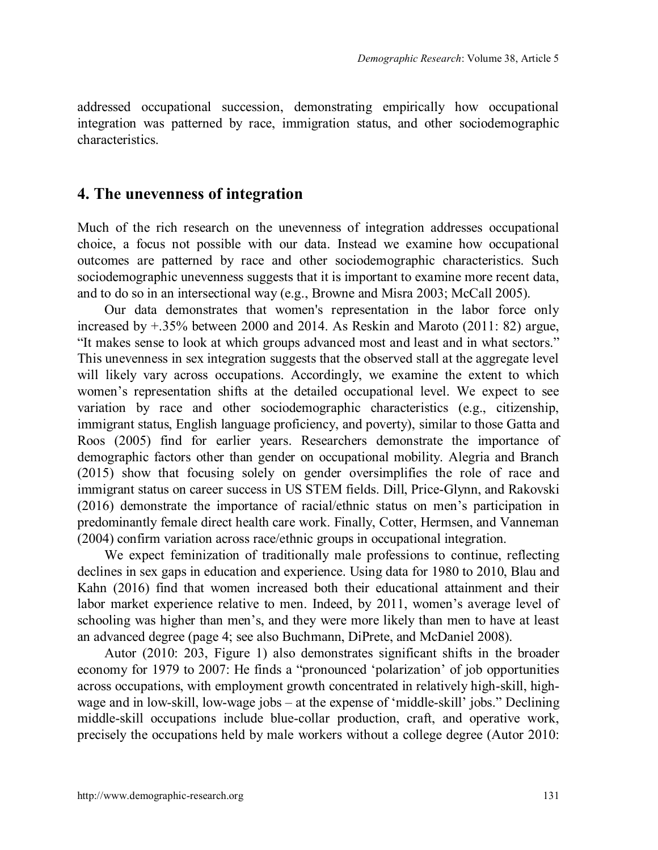addressed occupational succession, demonstrating empirically how occupational integration was patterned by race, immigration status, and other sociodemographic characteristics.

## **4. The unevenness of integration**

Much of the rich research on the unevenness of integration addresses occupational choice, a focus not possible with our data. Instead we examine how occupational outcomes are patterned by race and other sociodemographic characteristics. Such sociodemographic unevenness suggests that it is important to examine more recent data, and to do so in an intersectional way (e.g., Browne and Misra 2003; McCall 2005).

Our data demonstrates that women's representation in the labor force only increased by +.35% between 2000 and 2014. As Reskin and Maroto (2011: 82) argue, "It makes sense to look at which groups advanced most and least and in what sectors." This unevenness in sex integration suggests that the observed stall at the aggregate level will likely vary across occupations. Accordingly, we examine the extent to which women's representation shifts at the detailed occupational level. We expect to see variation by race and other sociodemographic characteristics (e.g., citizenship, immigrant status, English language proficiency, and poverty), similar to those Gatta and Roos (2005) find for earlier years. Researchers demonstrate the importance of demographic factors other than gender on occupational mobility. Alegria and Branch (2015) show that focusing solely on gender oversimplifies the role of race and immigrant status on career success in US STEM fields. Dill, Price-Glynn, and Rakovski (2016) demonstrate the importance of racial/ethnic status on men's participation in predominantly female direct health care work. Finally, Cotter, Hermsen, and Vanneman (2004) confirm variation across race/ethnic groups in occupational integration.

We expect feminization of traditionally male professions to continue, reflecting declines in sex gaps in education and experience. Using data for 1980 to 2010, Blau and Kahn (2016) find that women increased both their educational attainment and their labor market experience relative to men. Indeed, by 2011, women's average level of schooling was higher than men's, and they were more likely than men to have at least an advanced degree (page 4; see also Buchmann, DiPrete, and McDaniel 2008).

Autor (2010: 203, Figure 1) also demonstrates significant shifts in the broader economy for 1979 to 2007: He finds a "pronounced 'polarization' of job opportunities across occupations, with employment growth concentrated in relatively high-skill, highwage and in low-skill, low-wage jobs – at the expense of 'middle-skill' jobs." Declining middle-skill occupations include blue-collar production, craft, and operative work, precisely the occupations held by male workers without a college degree (Autor 2010: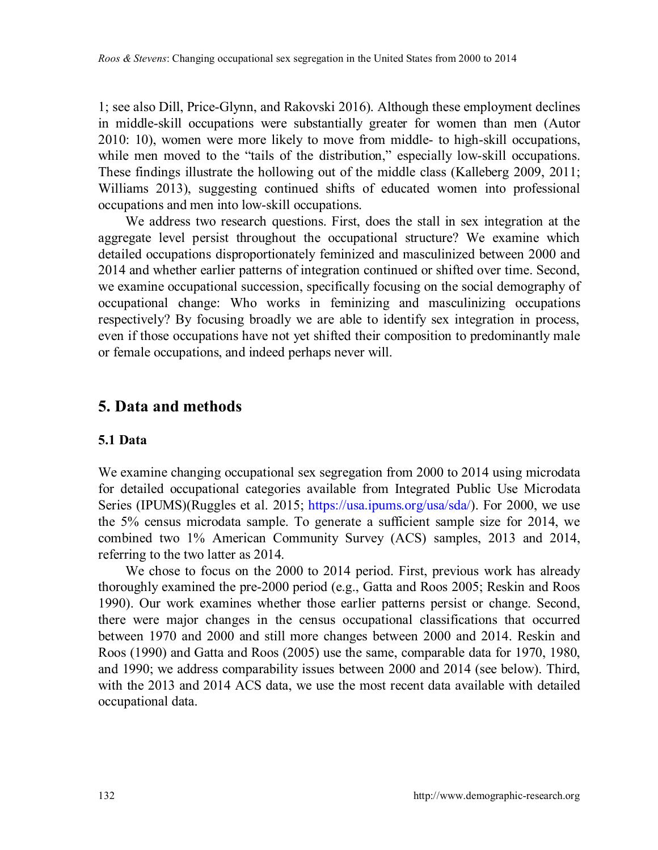1; see also Dill, Price-Glynn, and Rakovski 2016). Although these employment declines in middle-skill occupations were substantially greater for women than men (Autor 2010: 10), women were more likely to move from middle- to high-skill occupations, while men moved to the "tails of the distribution," especially low-skill occupations. These findings illustrate the hollowing out of the middle class (Kalleberg 2009, 2011; Williams 2013), suggesting continued shifts of educated women into professional occupations and men into low-skill occupations.

We address two research questions. First, does the stall in sex integration at the aggregate level persist throughout the occupational structure? We examine which detailed occupations disproportionately feminized and masculinized between 2000 and 2014 and whether earlier patterns of integration continued or shifted over time. Second, we examine occupational succession, specifically focusing on the social demography of occupational change: Who works in feminizing and masculinizing occupations respectively? By focusing broadly we are able to identify sex integration in process, even if those occupations have not yet shifted their composition to predominantly male or female occupations, and indeed perhaps never will.

### **5. Data and methods**

#### **5.1 Data**

We examine changing occupational sex segregation from 2000 to 2014 using microdata for detailed occupational categories available from Integrated Public Use Microdata Series (IPUMS)(Ruggles et al. 2015; [https://usa.ipums.org/usa/sda/\)](https://usa.ipums.org/usa/sda/). For 2000, we use the 5% census microdata sample. To generate a sufficient sample size for 2014, we combined two 1% American Community Survey (ACS) samples, 2013 and 2014, referring to the two latter as 2014.

We chose to focus on the 2000 to 2014 period. First, previous work has already thoroughly examined the pre-2000 period (e.g., Gatta and Roos 2005; Reskin and Roos 1990). Our work examines whether those earlier patterns persist or change. Second, there were major changes in the census occupational classifications that occurred between 1970 and 2000 and still more changes between 2000 and 2014. Reskin and Roos (1990) and Gatta and Roos (2005) use the same, comparable data for 1970, 1980, and 1990; we address comparability issues between 2000 and 2014 (see below). Third, with the 2013 and 2014 ACS data, we use the most recent data available with detailed occupational data.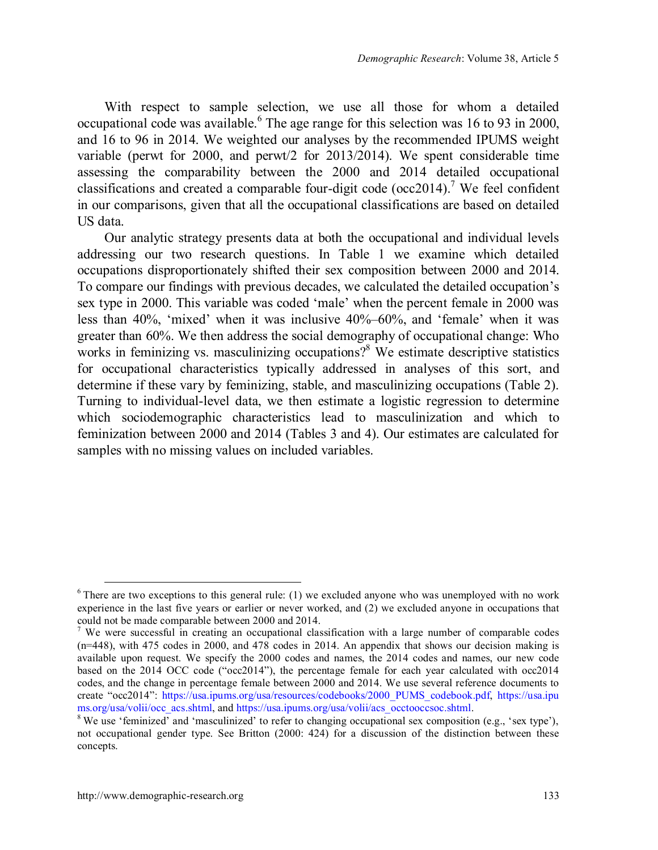With respect to sample selection, we use all those for whom a detailed occupationalcode was available. <sup>6</sup> The age range for this selection was 16 to 93 in 2000, and 16 to 96 in 2014. We weighted our analyses by the recommended IPUMS weight variable (perwt for 2000, and perwt/2 for 2013/2014). We spent considerable time assessing the comparability between the 2000 and 2014 detailed occupational classificationsand created a comparable four-digit code (occ2014).<sup>7</sup> We feel confident in our comparisons, given that all the occupational classifications are based on detailed US data.

Our analytic strategy presents data at both the occupational and individual levels addressing our two research questions. In Table 1 we examine which detailed occupations disproportionately shifted their sex composition between 2000 and 2014. To compare our findings with previous decades, we calculated the detailed occupation's sex type in 2000. This variable was coded 'male' when the percent female in 2000 was less than 40%, 'mixed' when it was inclusive 40%–60%, and 'female' when it was greater than 60%. We then address the social demography of occupational change: Who works in feminizing vs. masculinizing occupations?<sup>[8](#page-8-2)</sup> We estimate descriptive statistics for occupational characteristics typically addressed in analyses of this sort, and determine if these vary by feminizing, stable, and masculinizing occupations (Table 2). Turning to individual-level data, we then estimate a logistic regression to determine which sociodemographic characteristics lead to masculinization and which to feminization between 2000 and 2014 (Tables 3 and 4). Our estimates are calculated for samples with no missing values on included variables.

<span id="page-8-0"></span> $6$  There are two exceptions to this general rule: (1) we excluded anyone who was unemployed with no work experience in the last five years or earlier or never worked, and (2) we excluded anyone in occupations that could not be made comparable between 2000 and 2014.

<span id="page-8-1"></span><sup>&</sup>lt;sup>7</sup> We were successful in creating an occupational classification with a large number of comparable codes (n=448), with 475 codes in 2000, and 478 codes in 2014. An appendix that shows our decision making is available upon request. We specify the 2000 codes and names, the 2014 codes and names, our new code based on the 2014 OCC code ("occ2014"), the percentage female for each year calculated with occ2014 codes, and the change in percentage female between 2000 and 2014. We use several reference documents to create "occ2014": [https://usa.ipums.org/usa/resources/codebooks/2000\\_PUMS\\_codebook.pdf,](https://usa.ipums.org/usa/resources/codebooks/2000_PUMS_codebook.pdf) [https://usa.ipu](https://usa.ipums.org/usa/volii/occ_acs.shtml) ms.org/usa/volii/occ\_acs.shtml, and htt[ps://usa.ipums.org/usa/volii/acs\\_occtooccsoc.shtml.](https://usa.ipums.org/usa/volii/acs_occtooccsoc.shtml)

<span id="page-8-2"></span><sup>&</sup>lt;sup>8</sup> We use 'feminized' and 'masculinized' to refer to changing occupational sex composition (e.g., 'sex type'), not occupational gender type. See Britton (2000: 424) for a discussion of the distinction between these concepts.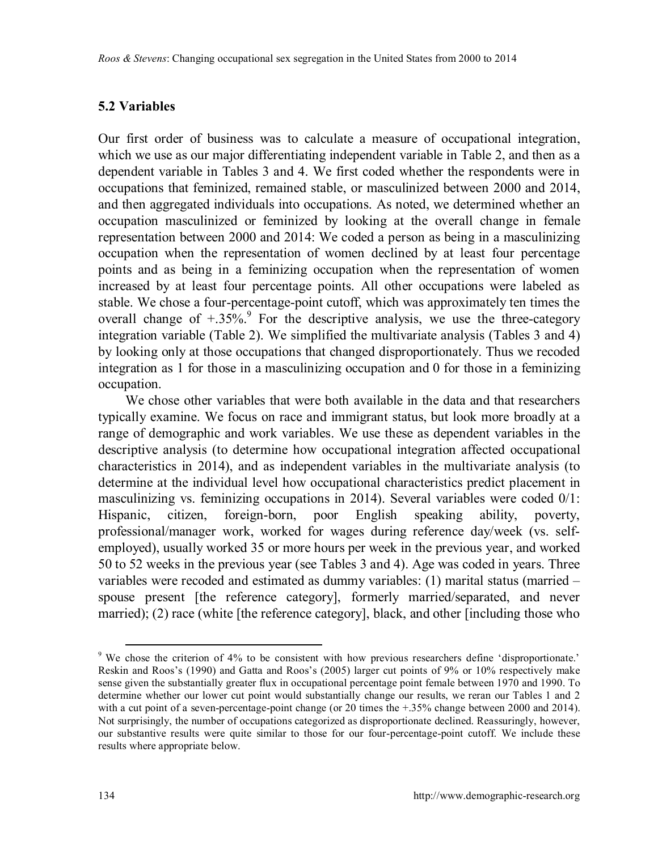#### **5.2 Variables**

Our first order of business was to calculate a measure of occupational integration, which we use as our major differentiating independent variable in Table 2, and then as a dependent variable in Tables 3 and 4. We first coded whether the respondents were in occupations that feminized, remained stable, or masculinized between 2000 and 2014, and then aggregated individuals into occupations. As noted, we determined whether an occupation masculinized or feminized by looking at the overall change in female representation between 2000 and 2014: We coded a person as being in a masculinizing occupation when the representation of women declined by at least four percentage points and as being in a feminizing occupation when the representation of women increased by at least four percentage points. All other occupations were labeled as stable. We chose a four-percentage-point cutoff, which was approximately ten times the overallchange of  $+0.35\%$ <sup>9</sup> For the descriptive analysis, we use the three-category integration variable (Table 2). We simplified the multivariate analysis (Tables 3 and 4) by looking only at those occupations that changed disproportionately. Thus we recoded integration as 1 for those in a masculinizing occupation and 0 for those in a feminizing occupation.

We chose other variables that were both available in the data and that researchers typically examine. We focus on race and immigrant status, but look more broadly at a range of demographic and work variables. We use these as dependent variables in the descriptive analysis (to determine how occupational integration affected occupational characteristics in 2014), and as independent variables in the multivariate analysis (to determine at the individual level how occupational characteristics predict placement in masculinizing vs. feminizing occupations in 2014). Several variables were coded 0/1: Hispanic, citizen, foreign-born, poor English speaking ability, poverty, professional/manager work, worked for wages during reference day/week (vs. selfemployed), usually worked 35 or more hours per week in the previous year, and worked 50 to 52 weeks in the previous year (see Tables 3 and 4). Age was coded in years. Three variables were recoded and estimated as dummy variables: (1) marital status (married – spouse present [the reference category], formerly married/separated, and never married); (2) race (white [the reference category], black, and other [including those who

<span id="page-9-0"></span><sup>&</sup>lt;sup>9</sup> We chose the criterion of 4% to be consistent with how previous researchers define 'disproportionate.' Reskin and Roos's (1990) and Gatta and Roos's (2005) larger cut points of 9% or 10% respectively make sense given the substantially greater flux in occupational percentage point female between 1970 and 1990. To determine whether our lower cut point would substantially change our results, we reran our Tables 1 and 2 with a cut point of a seven-percentage-point change (or 20 times the +.35% change between 2000 and 2014). Not surprisingly, the number of occupations categorized as disproportionate declined. Reassuringly, however, our substantive results were quite similar to those for our four-percentage-point cutoff. We include these results where appropriate below.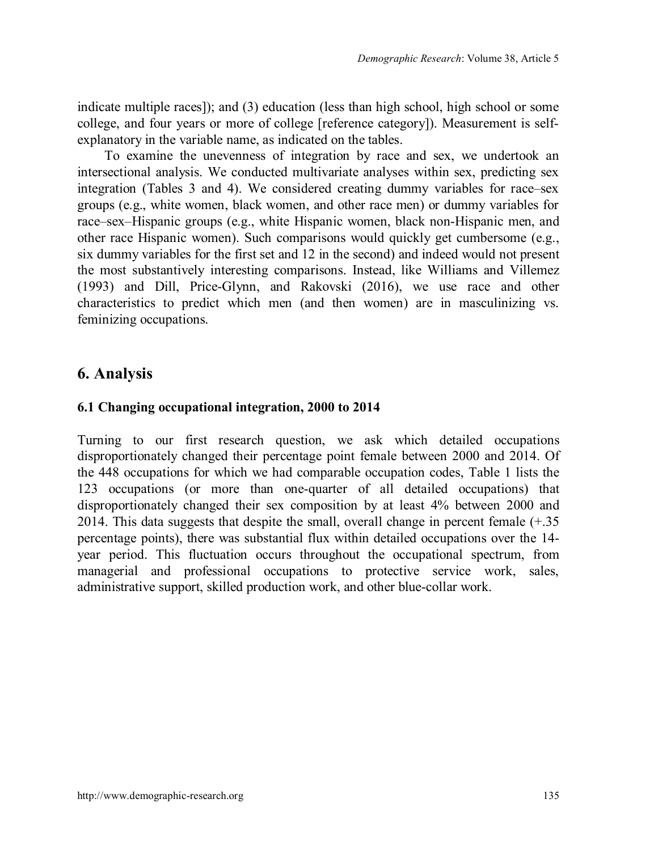indicate multiple races]); and (3) education (less than high school, high school or some college, and four years or more of college [reference category]). Measurement is selfexplanatory in the variable name, as indicated on the tables.

To examine the unevenness of integration by race and sex, we undertook an intersectional analysis. We conducted multivariate analyses within sex, predicting sex integration (Tables 3 and 4). We considered creating dummy variables for race–sex groups (e.g., white women, black women, and other race men) or dummy variables for race–sex–Hispanic groups (e.g., white Hispanic women, black non-Hispanic men, and other race Hispanic women). Such comparisons would quickly get cumbersome (e.g., six dummy variables for the first set and 12 in the second) and indeed would not present the most substantively interesting comparisons. Instead, like Williams and Villemez (1993) and Dill, Price-Glynn, and Rakovski (2016), we use race and other characteristics to predict which men (and then women) are in masculinizing vs. feminizing occupations.

## **6. Analysis**

### **6.1 Changing occupational integration, 2000 to 2014**

Turning to our first research question, we ask which detailed occupations disproportionately changed their percentage point female between 2000 and 2014. Of the 448 occupations for which we had comparable occupation codes, Table 1 lists the 123 occupations (or more than one-quarter of all detailed occupations) that disproportionately changed their sex composition by at least 4% between 2000 and 2014. This data suggests that despite the small, overall change in percent female (+.35 percentage points), there was substantial flux within detailed occupations over the 14 year period. This fluctuation occurs throughout the occupational spectrum, from managerial and professional occupations to protective service work, sales, administrative support, skilled production work, and other blue-collar work.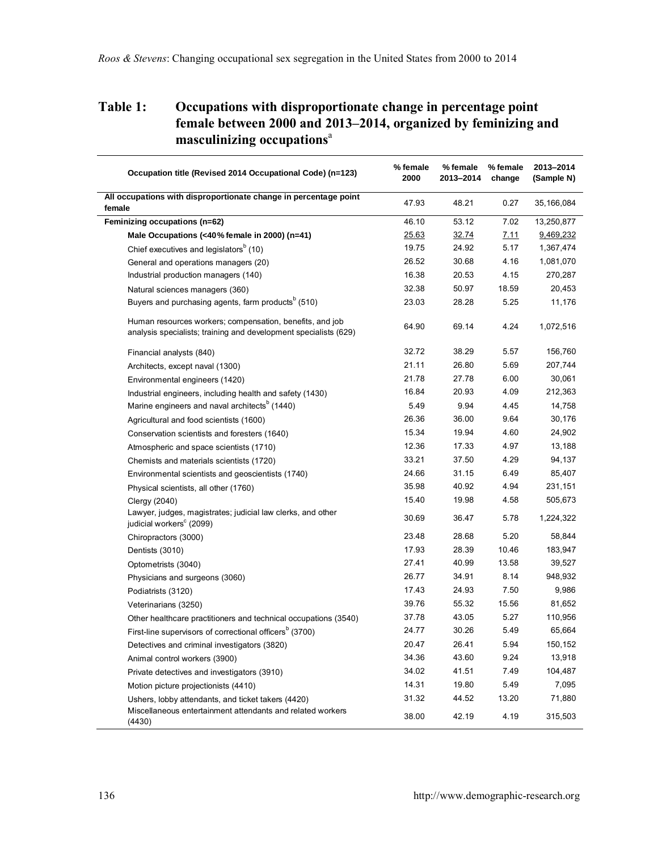### **Table 1: Occupations with disproportionate change in percentage point female between 2000 and 2013‒2014, organized by feminizing and masculinizing occupations**<sup>a</sup>

| Occupation title (Revised 2014 Occupational Code) (n=123)                                                                    | % female<br>2000 | % female<br>2013-2014 | % female<br>change | 2013-2014<br>(Sample N) |
|------------------------------------------------------------------------------------------------------------------------------|------------------|-----------------------|--------------------|-------------------------|
| All occupations with disproportionate change in percentage point<br>female                                                   | 47.93            | 48.21                 | 0.27               | 35,166,084              |
| Feminizing occupations (n=62)                                                                                                | 46.10            | 53.12                 | 7.02               | 13,250,877              |
| Male Occupations (<40% female in 2000) (n=41)                                                                                | 25.63            | 32.74                 | 7.11               | 9,469,232               |
| Chief executives and legislators <sup>b</sup> (10)                                                                           | 19.75            | 24.92                 | 5.17               | 1,367,474               |
| General and operations managers (20)                                                                                         | 26.52            | 30.68                 | 4.16               | 1,081,070               |
| Industrial production managers (140)                                                                                         | 16.38            | 20.53                 | 4.15               | 270,287                 |
| Natural sciences managers (360)                                                                                              | 32.38            | 50.97                 | 18.59              | 20,453                  |
| Buyers and purchasing agents, farm products <sup>o</sup> (510)                                                               | 23.03            | 28.28                 | 5.25               | 11,176                  |
| Human resources workers; compensation, benefits, and job<br>analysis specialists; training and development specialists (629) | 64.90            | 69.14                 | 4.24               | 1,072,516               |
| Financial analysts (840)                                                                                                     | 32.72            | 38.29                 | 5.57               | 156,760                 |
| Architects, except naval (1300)                                                                                              | 21.11            | 26.80                 | 5.69               | 207,744                 |
| Environmental engineers (1420)                                                                                               | 21.78            | 27.78                 | 6.00               | 30,061                  |
| Industrial engineers, including health and safety (1430)                                                                     | 16.84            | 20.93                 | 4.09               | 212,363                 |
| Marine engineers and naval architects <sup>b</sup> (1440)                                                                    | 5.49             | 9.94                  | 4.45               | 14,758                  |
| Agricultural and food scientists (1600)                                                                                      | 26.36            | 36.00                 | 9.64               | 30,176                  |
| Conservation scientists and foresters (1640)                                                                                 | 15.34            | 19.94                 | 4.60               | 24,902                  |
| Atmospheric and space scientists (1710)                                                                                      | 12.36            | 17.33                 | 4.97               | 13,188                  |
| Chemists and materials scientists (1720)                                                                                     | 33.21            | 37.50                 | 4.29               | 94,137                  |
| Environmental scientists and geoscientists (1740)                                                                            | 24.66            | 31.15                 | 6.49               | 85,407                  |
| Physical scientists, all other (1760)                                                                                        | 35.98            | 40.92                 | 4.94               | 231,151                 |
| Clergy (2040)                                                                                                                | 15.40            | 19.98                 | 4.58               | 505,673                 |
| Lawyer, judges, magistrates; judicial law clerks, and other<br>judicial workers <sup>c</sup> (2099)                          | 30.69            | 36.47                 | 5.78               | 1,224,322               |
| Chiropractors (3000)                                                                                                         | 23.48            | 28.68                 | 5.20               | 58,844                  |
| Dentists (3010)                                                                                                              | 17.93            | 28.39                 | 10.46              | 183,947                 |
| Optometrists (3040)                                                                                                          | 27.41            | 40.99                 | 13.58              | 39,527                  |
| Physicians and surgeons (3060)                                                                                               | 26.77            | 34.91                 | 8.14               | 948,932                 |
| Podiatrists (3120)                                                                                                           | 17.43            | 24.93                 | 7.50               | 9,986                   |
| Veterinarians (3250)                                                                                                         | 39.76            | 55.32                 | 15.56              | 81,652                  |
| Other healthcare practitioners and technical occupations (3540)                                                              | 37.78            | 43.05                 | 5.27               | 110,956                 |
| First-line supervisors of correctional officers <sup>b</sup> (3700)                                                          | 24.77            | 30.26                 | 5.49               | 65,664                  |
| Detectives and criminal investigators (3820)                                                                                 | 20.47            | 26.41                 | 5.94               | 150,152                 |
| Animal control workers (3900)                                                                                                | 34.36            | 43.60                 | 9.24               | 13,918                  |
| Private detectives and investigators (3910)                                                                                  | 34.02            | 41.51                 | 7.49               | 104,487                 |
| Motion picture projectionists (4410)                                                                                         | 14.31            | 19.80                 | 5.49               | 7,095                   |
| Ushers, lobby attendants, and ticket takers (4420)                                                                           | 31.32            | 44.52                 | 13.20              | 71,880                  |
| Miscellaneous entertainment attendants and related workers<br>(4430)                                                         | 38.00            | 42.19                 | 4.19               | 315,503                 |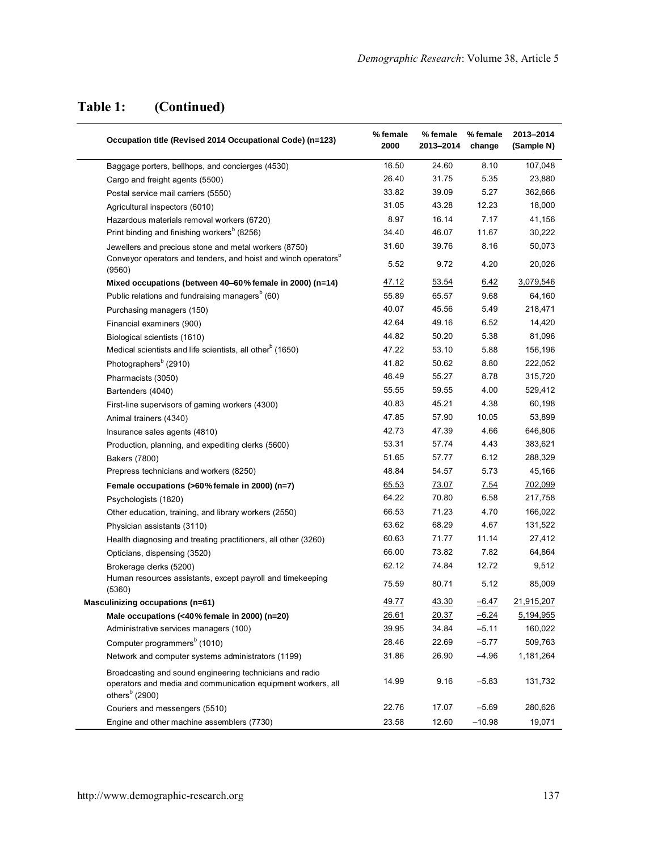# **Table 1: (Continued)**

| Occupation title (Revised 2014 Occupational Code) (n=123)                                                                                     | % female<br>2000 | % female<br>2013-2014 | % female<br>change | 2013-2014<br>(Sample N) |
|-----------------------------------------------------------------------------------------------------------------------------------------------|------------------|-----------------------|--------------------|-------------------------|
| Baggage porters, bellhops, and concierges (4530)                                                                                              | 16.50            | 24.60                 | 8.10               | 107,048                 |
| Cargo and freight agents (5500)                                                                                                               | 26.40            | 31.75                 | 5.35               | 23,880                  |
| Postal service mail carriers (5550)                                                                                                           | 33.82            | 39.09                 | 5.27               | 362,666                 |
| Agricultural inspectors (6010)                                                                                                                | 31.05            | 43.28                 | 12.23              | 18,000                  |
| Hazardous materials removal workers (6720)                                                                                                    | 8.97             | 16.14                 | 7.17               | 41,156                  |
| Print binding and finishing workers <sup>b</sup> (8256)                                                                                       | 34.40            | 46.07                 | 11.67              | 30,222                  |
| Jewellers and precious stone and metal workers (8750)                                                                                         | 31.60            | 39.76                 | 8.16               | 50,073                  |
| Conveyor operators and tenders, and hoist and winch operators <sup>p</sup><br>(9560)                                                          | 5.52             | 9.72                  | 4.20               | 20,026                  |
| Mixed occupations (between 40-60% female in 2000) (n=14)                                                                                      | 47.12            | 53.54                 | 6.42               | 3,079,546               |
| Public relations and fundraising managers <sup>b</sup> (60)                                                                                   | 55.89            | 65.57                 | 9.68               | 64,160                  |
| Purchasing managers (150)                                                                                                                     | 40.07            | 45.56                 | 5.49               | 218,471                 |
| Financial examiners (900)                                                                                                                     | 42.64            | 49.16                 | 6.52               | 14,420                  |
| Biological scientists (1610)                                                                                                                  | 44.82            | 50.20                 | 5.38               | 81,096                  |
| Medical scientists and life scientists, all other <sup>b</sup> (1650)                                                                         | 47.22            | 53.10                 | 5.88               | 156,196                 |
| Photographers <sup>b</sup> (2910)                                                                                                             | 41.82            | 50.62                 | 8.80               | 222,052                 |
| Pharmacists (3050)                                                                                                                            | 46.49            | 55.27                 | 8.78               | 315,720                 |
| Bartenders (4040)                                                                                                                             | 55.55            | 59.55                 | 4.00               | 529,412                 |
| First-line supervisors of gaming workers (4300)                                                                                               | 40.83            | 45.21                 | 4.38               | 60,198                  |
| Animal trainers (4340)                                                                                                                        | 47.85            | 57.90                 | 10.05              | 53,899                  |
| Insurance sales agents (4810)                                                                                                                 | 42.73            | 47.39                 | 4.66               | 646,806                 |
| Production, planning, and expediting clerks (5600)                                                                                            | 53.31            | 57.74                 | 4.43               | 383,621                 |
| Bakers (7800)                                                                                                                                 | 51.65            | 57.77                 | 6.12               | 288,329                 |
| Prepress technicians and workers (8250)                                                                                                       | 48.84            | 54.57                 | 5.73               | 45,166                  |
| Female occupations (>60% female in 2000) (n=7)                                                                                                | 65.53            | 73.07                 | 7.54               | 702,099                 |
| Psychologists (1820)                                                                                                                          | 64.22            | 70.80                 | 6.58               | 217,758                 |
| Other education, training, and library workers (2550)                                                                                         | 66.53            | 71.23                 | 4.70               | 166,022                 |
| Physician assistants (3110)                                                                                                                   | 63.62            | 68.29                 | 4.67               | 131,522                 |
| Health diagnosing and treating practitioners, all other (3260)                                                                                | 60.63            | 71.77                 | 11.14              | 27,412                  |
| Opticians, dispensing (3520)                                                                                                                  | 66.00            | 73.82                 | 7.82               | 64,864                  |
| Brokerage clerks (5200)                                                                                                                       | 62.12            | 74.84                 | 12.72              | 9,512                   |
| Human resources assistants, except payroll and timekeeping<br>(5360)                                                                          | 75.59            | 80.71                 | 5.12               | 85,009                  |
| Masculinizing occupations (n=61)                                                                                                              | 49.77            | 43.30                 | $-6.47$            | 21,915,207              |
| Male occupations (<40% female in 2000) (n=20)                                                                                                 | 26.61            | 20.37                 | $-6.24$            | 5,194,955               |
| Administrative services managers (100)                                                                                                        | 39.95            | 34.84                 | $-5.11$            | 160,022                 |
| Computer programmers <sup>b</sup> (1010)                                                                                                      | 28.46            | 22.69                 | $-5.77$            | 509,763                 |
| Network and computer systems administrators (1199)                                                                                            | 31.86            | 26.90                 | $-4.96$            | 1,181,264               |
| Broadcasting and sound engineering technicians and radio<br>operators and media and communication equipment workers, all<br>others $b$ (2900) | 14.99            | 9.16                  | $-5.83$            | 131,732                 |
| Couriers and messengers (5510)                                                                                                                | 22.76            | 17.07                 | $-5.69$            | 280,626                 |
| Engine and other machine assemblers (7730)                                                                                                    | 23.58            | 12.60                 | $-10.98$           | 19,071                  |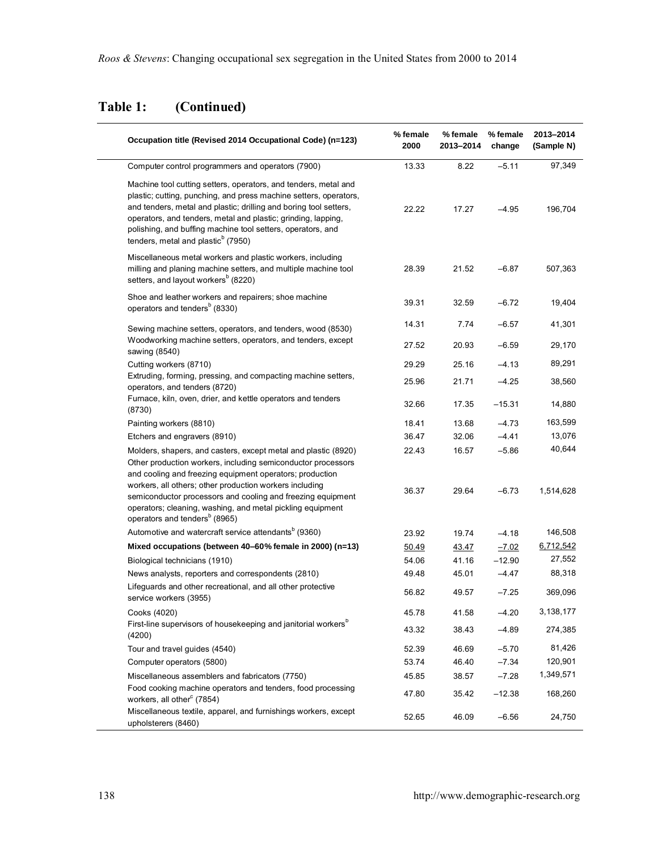# **Table 1: (Continued)**

| Occupation title (Revised 2014 Occupational Code) (n=123)                                                                                                                                                                                                                                                                                                                                                                       | % female<br>2000 | % female<br>2013-2014 | % female<br>change  | 2013-2014<br>(Sample N) |
|---------------------------------------------------------------------------------------------------------------------------------------------------------------------------------------------------------------------------------------------------------------------------------------------------------------------------------------------------------------------------------------------------------------------------------|------------------|-----------------------|---------------------|-------------------------|
| Computer control programmers and operators (7900)                                                                                                                                                                                                                                                                                                                                                                               | 13.33            | 8.22                  | $-5.11$             | 97,349                  |
| Machine tool cutting setters, operators, and tenders, metal and<br>plastic; cutting, punching, and press machine setters, operators,<br>and tenders, metal and plastic; drilling and boring tool setters,<br>operators, and tenders, metal and plastic; grinding, lapping,<br>polishing, and buffing machine tool setters, operators, and<br>tenders, metal and plastic <sup>b</sup> (7950)                                     | 22.22            | 17.27                 | $-4.95$             | 196,704                 |
| Miscellaneous metal workers and plastic workers, including<br>milling and planing machine setters, and multiple machine tool<br>setters, and layout workers <sup>b</sup> (8220)                                                                                                                                                                                                                                                 | 28.39            | 21.52                 | $-6.87$             | 507,363                 |
| Shoe and leather workers and repairers; shoe machine<br>operators and tenders <sup>b</sup> (8330)                                                                                                                                                                                                                                                                                                                               | 39.31            | 32.59                 | $-6.72$             | 19,404                  |
| Sewing machine setters, operators, and tenders, wood (8530)                                                                                                                                                                                                                                                                                                                                                                     | 14.31            | 7.74                  | $-6.57$             | 41,301                  |
| Woodworking machine setters, operators, and tenders, except<br>sawing (8540)                                                                                                                                                                                                                                                                                                                                                    | 27.52            | 20.93                 | $-6.59$             | 29,170                  |
| Cutting workers (8710)                                                                                                                                                                                                                                                                                                                                                                                                          | 29.29            | 25.16                 | $-4.13$             | 89,291                  |
| Extruding, forming, pressing, and compacting machine setters,<br>operators, and tenders (8720)                                                                                                                                                                                                                                                                                                                                  | 25.96            | 21.71                 | $-4.25$             | 38,560                  |
| Furnace, kiln, oven, drier, and kettle operators and tenders<br>(8730)                                                                                                                                                                                                                                                                                                                                                          | 32.66            | 17.35                 | $-15.31$            | 14,880                  |
| Painting workers (8810)                                                                                                                                                                                                                                                                                                                                                                                                         | 18.41            | 13.68                 | $-4.73$             | 163,599                 |
| Etchers and engravers (8910)                                                                                                                                                                                                                                                                                                                                                                                                    | 36.47            | 32.06                 | $-4.41$             | 13,076                  |
| Molders, shapers, and casters, except metal and plastic (8920)<br>Other production workers, including semiconductor processors<br>and cooling and freezing equipment operators; production<br>workers, all others; other production workers including<br>semiconductor processors and cooling and freezing equipment<br>operators; cleaning, washing, and metal pickling equipment<br>operators and tenders <sup>b</sup> (8965) | 22.43<br>36.37   | 16.57<br>29.64        | $-5.86$<br>$-6.73$  | 40,644<br>1,514,628     |
| Automotive and watercraft service attendants <sup>b</sup> (9360)                                                                                                                                                                                                                                                                                                                                                                | 23.92            | 19.74                 | $-4.18$             | 146,508                 |
| Mixed occupations (between 40-60% female in 2000) (n=13)                                                                                                                                                                                                                                                                                                                                                                        | 50.49            | 43.47                 | $-7.02$             | 6,712,542               |
| Biological technicians (1910)                                                                                                                                                                                                                                                                                                                                                                                                   | 54.06            | 41.16                 | $-12.90$            | 27,552                  |
| News analysts, reporters and correspondents (2810)                                                                                                                                                                                                                                                                                                                                                                              | 49.48            | 45.01                 | $-4.47$             | 88,318                  |
| Lifeguards and other recreational, and all other protective<br>service workers (3955)                                                                                                                                                                                                                                                                                                                                           | 56.82            | 49.57                 | $-7.25$             | 369,096                 |
| Cooks (4020)<br>First-line supervisors of housekeeping and janitorial workers <sup>b</sup>                                                                                                                                                                                                                                                                                                                                      | 45.78<br>43.32   | 41.58<br>38.43        | $-4.20$<br>$-4.89$  | 3,138,177<br>274,385    |
| (4200)                                                                                                                                                                                                                                                                                                                                                                                                                          |                  |                       |                     |                         |
| Tour and travel guides (4540)                                                                                                                                                                                                                                                                                                                                                                                                   | 52.39            | 46.69                 | $-5.70$             | 81,426                  |
| Computer operators (5800)                                                                                                                                                                                                                                                                                                                                                                                                       | 53.74            | 46.40                 | $-7.34$             | 120,901                 |
| Miscellaneous assemblers and fabricators (7750)<br>Food cooking machine operators and tenders, food processing<br>workers, all other <sup>c</sup> (7854)                                                                                                                                                                                                                                                                        | 45.85<br>47.80   | 38.57<br>35.42        | $-7.28$<br>$-12.38$ | 1,349,571<br>168,260    |
| Miscellaneous textile, apparel, and furnishings workers, except<br>upholsterers (8460)                                                                                                                                                                                                                                                                                                                                          | 52.65            | 46.09                 | $-6.56$             | 24,750                  |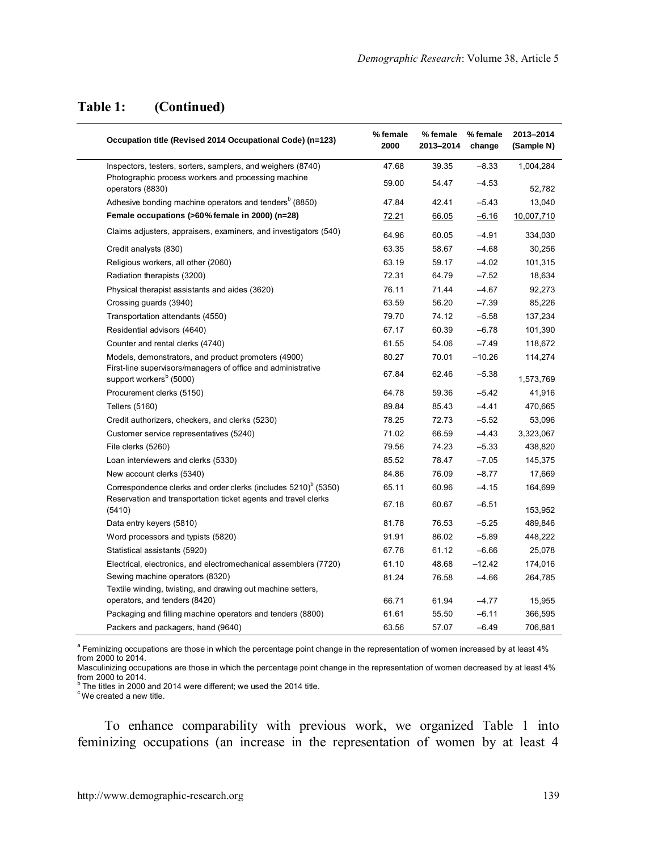## **Table 1: (Continued)**

| Occupation title (Revised 2014 Occupational Code) (n=123)                                           | % female<br>2000 | % female<br>2013-2014 | % female<br>change | 2013-2014<br>(Sample N) |
|-----------------------------------------------------------------------------------------------------|------------------|-----------------------|--------------------|-------------------------|
| Inspectors, testers, sorters, samplers, and weighers (8740)                                         | 47.68            | 39.35                 | $-8.33$            | 1,004,284               |
| Photographic process workers and processing machine<br>operators (8830)                             | 59.00            | 54.47                 | $-4.53$            | 52,782                  |
| Adhesive bonding machine operators and tenders <sup>b</sup> (8850)                                  | 47.84            | 42.41                 | $-5.43$            | 13,040                  |
| Female occupations (>60% female in 2000) (n=28)                                                     | <u>72.21</u>     | 66.05                 | $-6.16$            | 10,007,710              |
| Claims adjusters, appraisers, examiners, and investigators (540)                                    | 64.96            | 60.05                 | $-4.91$            | 334,030                 |
| Credit analysts (830)                                                                               | 63.35            | 58.67                 | $-4.68$            | 30,256                  |
| Religious workers, all other (2060)                                                                 | 63.19            | 59.17                 | $-4.02$            | 101,315                 |
| Radiation therapists (3200)                                                                         | 72.31            | 64.79                 | $-7.52$            | 18,634                  |
| Physical therapist assistants and aides (3620)                                                      | 76.11            | 71.44                 | $-4.67$            | 92,273                  |
| Crossing guards (3940)                                                                              | 63.59            | 56.20                 | $-7.39$            | 85,226                  |
| Transportation attendants (4550)                                                                    | 79.70            | 74.12                 | $-5.58$            | 137,234                 |
| Residential advisors (4640)                                                                         | 67.17            | 60.39                 | $-6.78$            | 101,390                 |
| Counter and rental clerks (4740)                                                                    | 61.55            | 54.06                 | $-7.49$            | 118,672                 |
| Models, demonstrators, and product promoters (4900)                                                 | 80.27            | 70.01                 | $-10.26$           | 114,274                 |
| First-line supervisors/managers of office and administrative<br>support workers <sup>b</sup> (5000) | 67.84            | 62.46                 | $-5.38$            | 1,573,769               |
| Procurement clerks (5150)                                                                           | 64.78            | 59.36                 | $-5.42$            | 41,916                  |
| <b>Tellers (5160)</b>                                                                               | 89.84            | 85.43                 | $-4.41$            | 470,665                 |
| Credit authorizers, checkers, and clerks (5230)                                                     | 78.25            | 72.73                 | $-5.52$            | 53,096                  |
| Customer service representatives (5240)                                                             | 71.02            | 66.59                 | $-4.43$            | 3,323,067               |
| File clerks (5260)                                                                                  | 79.56            | 74.23                 | $-5.33$            | 438,820                 |
| Loan interviewers and clerks (5330)                                                                 | 85.52            | 78.47                 | $-7.05$            | 145,375                 |
| New account clerks (5340)                                                                           | 84.86            | 76.09                 | $-8.77$            | 17,669                  |
| Correspondence clerks and order clerks (includes 5210) <sup>b</sup> (5350)                          | 65.11            | 60.96                 | $-4.15$            | 164,699                 |
| Reservation and transportation ticket agents and travel clerks<br>(5410)                            | 67.18            | 60.67                 | $-6.51$            | 153,952                 |
| Data entry keyers (5810)                                                                            | 81.78            | 76.53                 | $-5.25$            | 489,846                 |
| Word processors and typists (5820)                                                                  | 91.91            | 86.02                 | $-5.89$            | 448,222                 |
| Statistical assistants (5920)                                                                       | 67.78            | 61.12                 | $-6.66$            | 25,078                  |
| Electrical, electronics, and electromechanical assemblers (7720)                                    | 61.10            | 48.68                 | $-12.42$           | 174,016                 |
| Sewing machine operators (8320)                                                                     | 81.24            | 76.58                 | $-4.66$            | 264,785                 |
| Textile winding, twisting, and drawing out machine setters,                                         |                  |                       |                    |                         |
| operators, and tenders (8420)                                                                       | 66.71            | 61.94                 | $-4.77$            | 15,955                  |
| Packaging and filling machine operators and tenders (8800)                                          | 61.61            | 55.50                 | $-6.11$            | 366,595                 |
| Packers and packagers, hand (9640)                                                                  | 63.56            | 57.07                 | $-6.49$            | 706,881                 |

<sup>a</sup> Feminizing occupations are those in which the percentage point change in the representation of women increased by at least 4%<br>from 2000 to 2014.

Masculinizing occupations are those in which the percentage point change in the representation of women decreased by at least 4% from 2000 to 2014.<br><sup>b</sup> The titles in 2000 and 2014 were different; we used the 2014 title.

<sup>c</sup> We created a new title.

To enhance comparability with previous work, we organized Table 1 into feminizing occupations (an increase in the representation of women by at least 4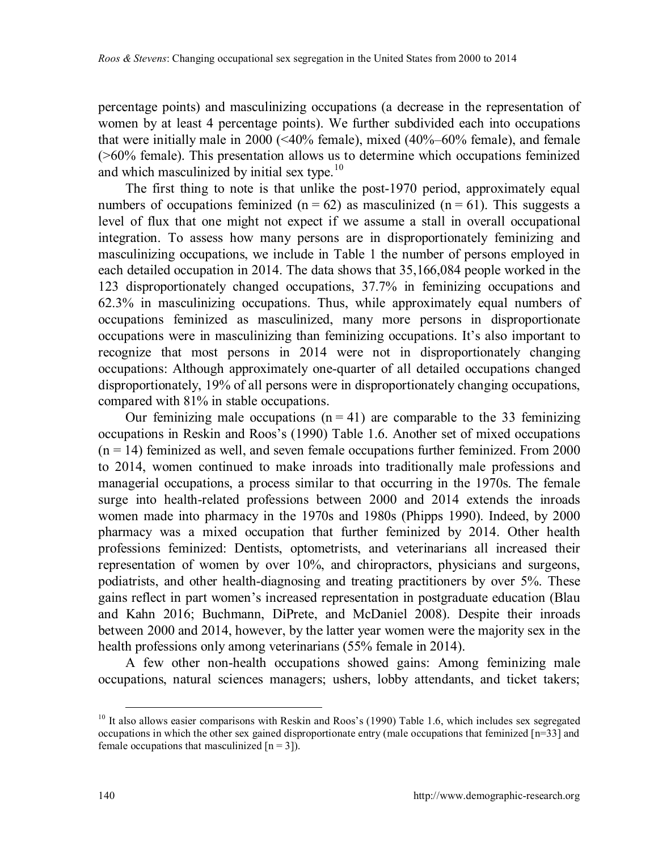percentage points) and masculinizing occupations (a decrease in the representation of women by at least 4 percentage points). We further subdivided each into occupations that were initially male in 2000 ( $\leq 40\%$  female), mixed ( $40\% - 60\%$  female), and female (>60% female). This presentation allows us to determine which occupations feminized and which masculinized by initial sex type. $10$ 

The first thing to note is that unlike the post-1970 period, approximately equal numbers of occupations feminized ( $n = 62$ ) as masculinized ( $n = 61$ ). This suggests a level of flux that one might not expect if we assume a stall in overall occupational integration. To assess how many persons are in disproportionately feminizing and masculinizing occupations, we include in Table 1 the number of persons employed in each detailed occupation in 2014. The data shows that 35,166,084 people worked in the 123 disproportionately changed occupations, 37.7% in feminizing occupations and 62.3% in masculinizing occupations. Thus, while approximately equal numbers of occupations feminized as masculinized, many more persons in disproportionate occupations were in masculinizing than feminizing occupations. It's also important to recognize that most persons in 2014 were not in disproportionately changing occupations: Although approximately one-quarter of all detailed occupations changed disproportionately, 19% of all persons were in disproportionately changing occupations, compared with 81% in stable occupations.

Our feminizing male occupations  $(n = 41)$  are comparable to the 33 feminizing occupations in Reskin and Roos's (1990) Table 1.6. Another set of mixed occupations  $(n = 14)$  feminized as well, and seven female occupations further feminized. From 2000 to 2014, women continued to make inroads into traditionally male professions and managerial occupations, a process similar to that occurring in the 1970s. The female surge into health-related professions between 2000 and 2014 extends the inroads women made into pharmacy in the 1970s and 1980s (Phipps 1990). Indeed, by 2000 pharmacy was a mixed occupation that further feminized by 2014. Other health professions feminized: Dentists, optometrists, and veterinarians all increased their representation of women by over 10%, and chiropractors, physicians and surgeons, podiatrists, and other health-diagnosing and treating practitioners by over 5%. These gains reflect in part women's increased representation in postgraduate education (Blau and Kahn 2016; Buchmann, DiPrete, and McDaniel 2008). Despite their inroads between 2000 and 2014, however, by the latter year women were the majority sex in the health professions only among veterinarians (55% female in 2014).

A few other non-health occupations showed gains: Among feminizing male occupations, natural sciences managers; ushers, lobby attendants, and ticket takers;

<span id="page-15-0"></span><sup>&</sup>lt;sup>10</sup> It also allows easier comparisons with Reskin and Roos's (1990) Table 1.6, which includes sex segregated occupations in which the other sex gained disproportionate entry (male occupations that feminized [n=33] and female occupations that masculinized  $[n = 3]$ .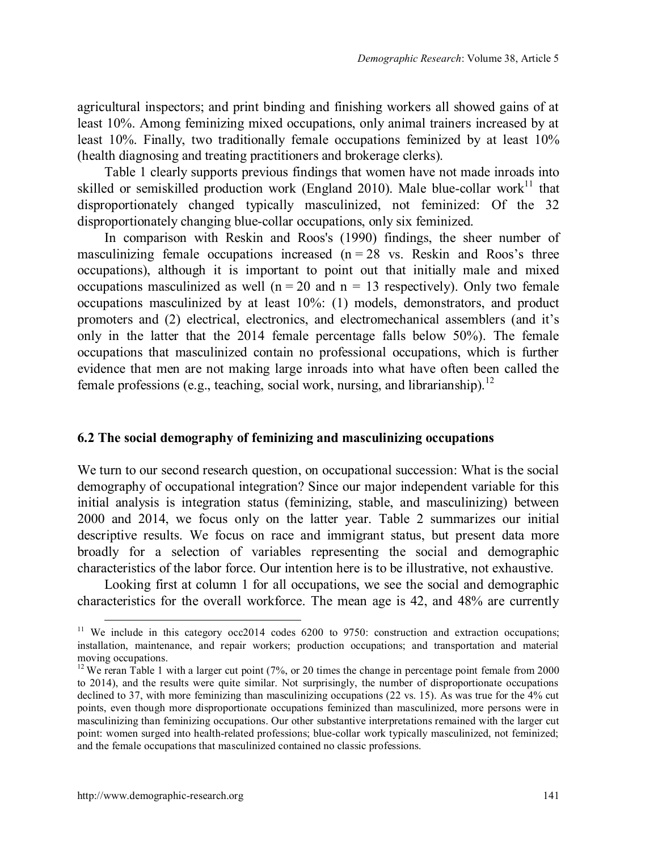agricultural inspectors; and print binding and finishing workers all showed gains of at least 10%. Among feminizing mixed occupations, only animal trainers increased by at least 10%. Finally, two traditionally female occupations feminized by at least 10% (health diagnosing and treating practitioners and brokerage clerks).

Table 1 clearly supports previous findings that women have not made inroads into skilled or semiskilled production work (England 2010). Male blue-collar work<sup>[11](#page-16-0)</sup> that disproportionately changed typically masculinized, not feminized: Of the 32 disproportionately changing blue-collar occupations, only six feminized.

In comparison with Reskin and Roos's (1990) findings, the sheer number of masculinizing female occupations increased  $(n = 28 \text{ vs.} \text{ Reskin and} \text{ Roos's three})$ occupations), although it is important to point out that initially male and mixed occupations masculinized as well ( $n = 20$  and  $n = 13$  respectively). Only two female occupations masculinized by at least 10%: (1) models, demonstrators, and product promoters and (2) electrical, electronics, and electromechanical assemblers (and it's only in the latter that the 2014 female percentage falls below 50%). The female occupations that masculinized contain no professional occupations, which is further evidence that men are not making large inroads into what have often been called the female professions (e.g., teaching, social work, nursing, and librarianship).<sup>[12](#page-16-1)</sup>

#### **6.2 The social demography of feminizing and masculinizing occupations**

We turn to our second research question, on occupational succession: What is the social demography of occupational integration? Since our major independent variable for this initial analysis is integration status (feminizing, stable, and masculinizing) between 2000 and 2014, we focus only on the latter year. Table 2 summarizes our initial descriptive results. We focus on race and immigrant status, but present data more broadly for a selection of variables representing the social and demographic characteristics of the labor force. Our intention here is to be illustrative, not exhaustive.

Looking first at column 1 for all occupations, we see the social and demographic characteristics for the overall workforce. The mean age is 42, and 48% are currently

<span id="page-16-0"></span><sup>&</sup>lt;sup>11</sup> We include in this category  $\text{occ}2014$  codes 6200 to 9750; construction and extraction occupations; installation, maintenance, and repair workers; production occupations; and transportation and material moving occupations.

<span id="page-16-1"></span><sup>&</sup>lt;sup>12</sup> We reran Table 1 with a larger cut point (7%, or 20 times the change in percentage point female from 2000 to 2014), and the results were quite similar. Not surprisingly, the number of disproportionate occupations declined to 37, with more feminizing than masculinizing occupations (22 vs. 15). As was true for the 4% cut points, even though more disproportionate occupations feminized than masculinized, more persons were in masculinizing than feminizing occupations. Our other substantive interpretations remained with the larger cut point: women surged into health-related professions; blue-collar work typically masculinized, not feminized; and the female occupations that masculinized contained no classic professions.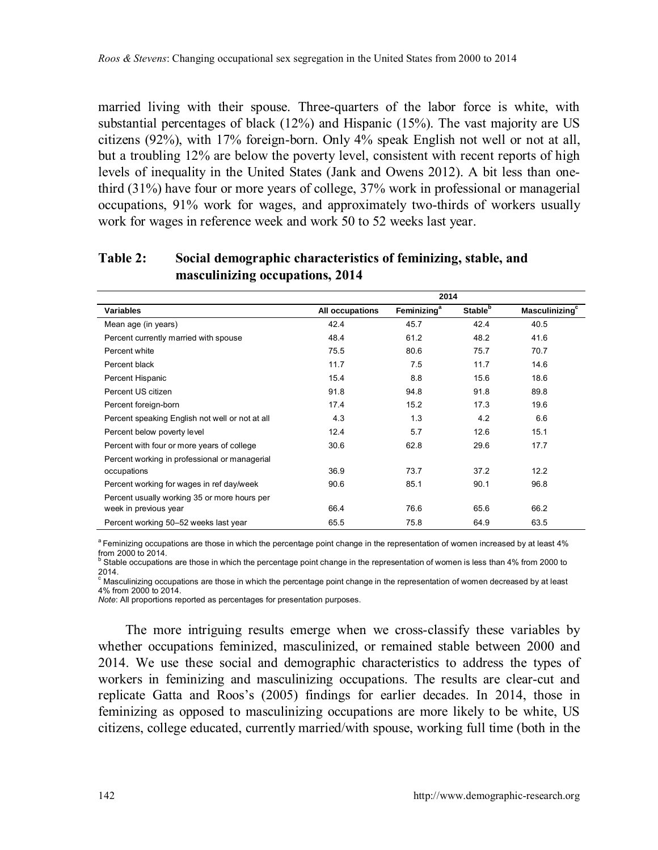married living with their spouse. Three-quarters of the labor force is white, with substantial percentages of black (12%) and Hispanic (15%). The vast majority are US citizens (92%), with 17% foreign-born. Only 4% speak English not well or not at all, but a troubling 12% are below the poverty level, consistent with recent reports of high levels of inequality in the United States (Jank and Owens 2012). A bit less than onethird (31%) have four or more years of college, 37% work in professional or managerial occupations, 91% work for wages, and approximately two-thirds of workers usually work for wages in reference week and work 50 to 52 weeks last year.

|                                                 | 2014            |                                |                            |                                   |
|-------------------------------------------------|-----------------|--------------------------------|----------------------------|-----------------------------------|
| Variables                                       | All occupations | <b>Feminizing</b> <sup>a</sup> | <b>Stable</b> <sup>b</sup> | <b>Masculinizing</b> <sup>c</sup> |
| Mean age (in years)                             | 42.4            | 45.7                           | 42.4                       | 40.5                              |
| Percent currently married with spouse           | 48.4            | 61.2                           | 48.2                       | 41.6                              |
| Percent white                                   | 75.5            | 80.6                           | 75.7                       | 70.7                              |
| Percent black                                   | 11.7            | 7.5                            | 11.7                       | 14.6                              |
| Percent Hispanic                                | 15.4            | 8.8                            | 15.6                       | 18.6                              |
| Percent US citizen                              | 91.8            | 94.8                           | 91.8                       | 89.8                              |
| Percent foreign-born                            | 17.4            | 15.2                           | 17.3                       | 19.6                              |
| Percent speaking English not well or not at all | 4.3             | 1.3                            | 4.2                        | 6.6                               |
| Percent below poverty level                     | 12.4            | 5.7                            | 12.6                       | 15.1                              |
| Percent with four or more years of college      | 30.6            | 62.8                           | 29.6                       | 17.7                              |
| Percent working in professional or managerial   |                 |                                |                            |                                   |
| occupations                                     | 36.9            | 73.7                           | 37.2                       | 12.2                              |
| Percent working for wages in ref day/week       | 90.6            | 85.1                           | 90.1                       | 96.8                              |
| Percent usually working 35 or more hours per    |                 |                                |                            |                                   |
| week in previous year                           | 66.4            | 76.6                           | 65.6                       | 66.2                              |
| Percent working 50-52 weeks last year           | 65.5            | 75.8                           | 64.9                       | 63.5                              |

#### **Table 2: Social demographic characteristics of feminizing, stable, and masculinizing occupations, 2014**

<sup>a</sup> Feminizing occupations are those in which the percentage point change in the representation of women increased by at least 4% from 2000 to 2014.<br><sup>b</sup> Stable occupations are those in which the percentage point change in the representation of women is less than 4% from 2000 to

2014.

<sup>c</sup> Masculinizing occupations are those in which the percentage point change in the representation of women decreased by at least 4% from 2000 to 2014.

*Note*: All proportions reported as percentages for presentation purposes.

The more intriguing results emerge when we cross-classify these variables by whether occupations feminized, masculinized, or remained stable between 2000 and 2014. We use these social and demographic characteristics to address the types of workers in feminizing and masculinizing occupations. The results are clear-cut and replicate Gatta and Roos's (2005) findings for earlier decades. In 2014, those in feminizing as opposed to masculinizing occupations are more likely to be white, US citizens, college educated, currently married/with spouse, working full time (both in the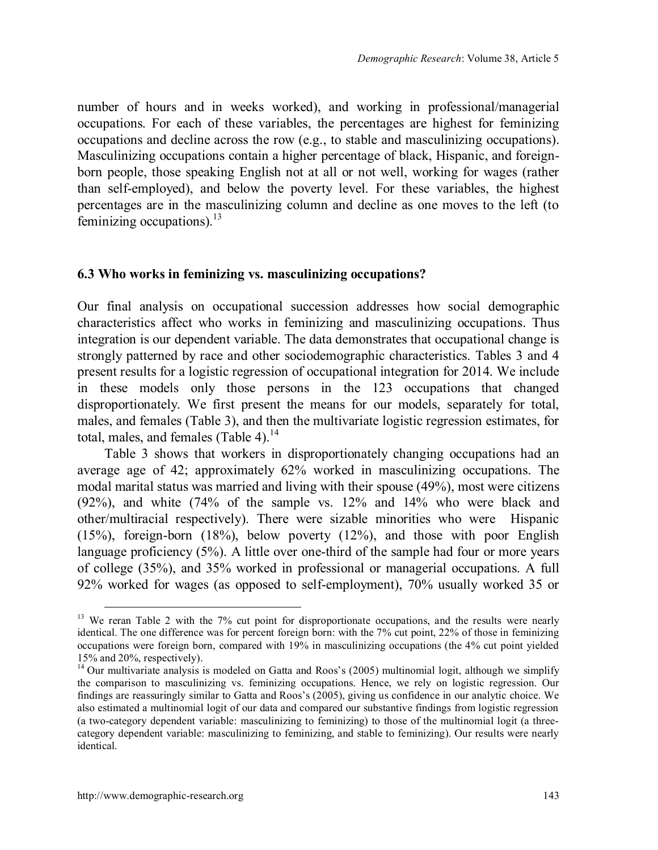number of hours and in weeks worked), and working in professional/managerial occupations. For each of these variables, the percentages are highest for feminizing occupations and decline across the row (e.g., to stable and masculinizing occupations). Masculinizing occupations contain a higher percentage of black, Hispanic, and foreignborn people, those speaking English not at all or not well, working for wages (rather than self-employed), and below the poverty level. For these variables, the highest percentages are in the masculinizing column and decline as one moves to the left (to feminizing occupations).  $13$ 

#### **6.3 Who works in feminizing vs. masculinizing occupations?**

Our final analysis on occupational succession addresses how social demographic characteristics affect who works in feminizing and masculinizing occupations. Thus integration is our dependent variable. The data demonstrates that occupational change is strongly patterned by race and other sociodemographic characteristics. Tables 3 and 4 present results for a logistic regression of occupational integration for 2014. We include in these models only those persons in the 123 occupations that changed disproportionately. We first present the means for our models, separately for total, males, and females (Table 3), and then the multivariate logistic regression estimates, for total, males, and females (Table 4). $^{14}$  $^{14}$  $^{14}$ 

Table 3 shows that workers in disproportionately changing occupations had an average age of 42; approximately 62% worked in masculinizing occupations. The modal marital status was married and living with their spouse (49%), most were citizens (92%), and white (74% of the sample vs. 12% and 14% who were black and other/multiracial respectively). There were sizable minorities who were Hispanic (15%), foreign-born (18%), below poverty (12%), and those with poor English language proficiency (5%). A little over one-third of the sample had four or more years of college (35%), and 35% worked in professional or managerial occupations. A full 92% worked for wages (as opposed to self-employment), 70% usually worked 35 or

<span id="page-18-0"></span><sup>&</sup>lt;sup>13</sup> We reran Table 2 with the 7% cut point for disproportionate occupations, and the results were nearly identical. The one difference was for percent foreign born: with the 7% cut point, 22% of those in feminizing occupations were foreign born, compared with 19% in masculinizing occupations (the 4% cut point yielded 15% and 20%, respectively).

<span id="page-18-1"></span><sup>&</sup>lt;sup>14</sup> Our multivariate analysis is modeled on Gatta and Roos's (2005) multinomial logit, although we simplify the comparison to masculinizing vs. feminizing occupations. Hence, we rely on logistic regression. Our findings are reassuringly similar to Gatta and Roos's (2005), giving us confidence in our analytic choice. We also estimated a multinomial logit of our data and compared our substantive findings from logistic regression (a two-category dependent variable: masculinizing to feminizing) to those of the multinomial logit (a threecategory dependent variable: masculinizing to feminizing, and stable to feminizing). Our results were nearly identical.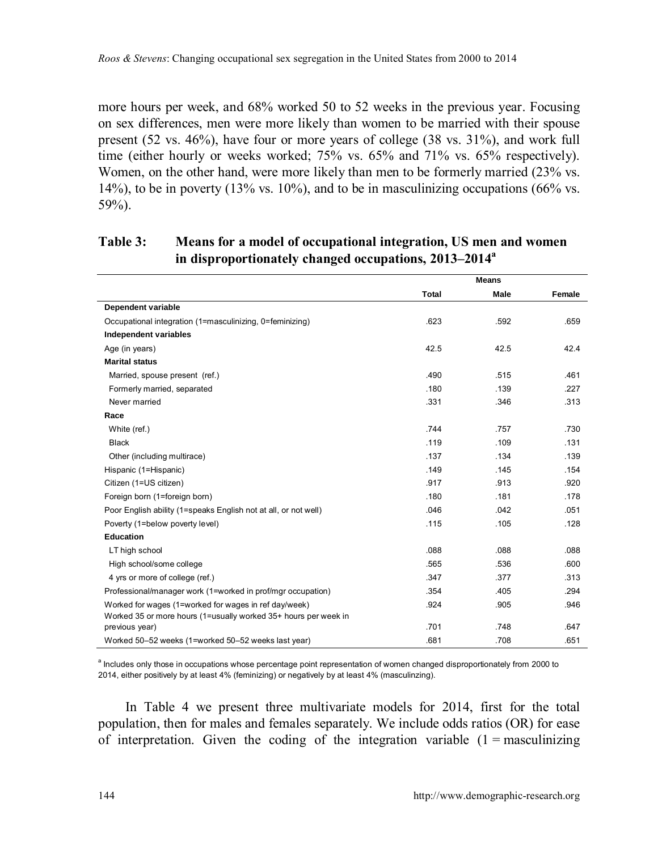more hours per week, and 68% worked 50 to 52 weeks in the previous year. Focusing on sex differences, men were more likely than women to be married with their spouse present (52 vs. 46%), have four or more years of college (38 vs. 31%), and work full time (either hourly or weeks worked; 75% vs. 65% and 71% vs. 65% respectively). Women, on the other hand, were more likely than men to be formerly married (23% vs. 14%), to be in poverty  $(13\% \text{ vs. } 10\%)$ , and to be in masculinizing occupations  $(66\% \text{ vs. } 10\%)$ 59%).

|                                                                 | <b>Means</b> |      |        |
|-----------------------------------------------------------------|--------------|------|--------|
|                                                                 | Total        | Male | Female |
| Dependent variable                                              |              |      |        |
| Occupational integration (1=masculinizing, 0=feminizing)        | .623         | .592 | .659   |
| Independent variables                                           |              |      |        |
| Age (in years)                                                  | 42.5         | 42.5 | 42.4   |
| <b>Marital status</b>                                           |              |      |        |
| Married, spouse present (ref.)                                  | .490         | .515 | .461   |
| Formerly married, separated                                     | .180         | .139 | .227   |
| Never married                                                   | .331         | .346 | .313   |
| Race                                                            |              |      |        |
| White (ref.)                                                    | .744         | .757 | .730   |
| <b>Black</b>                                                    | .119         | .109 | .131   |
| Other (including multirace)                                     | .137         | .134 | .139   |
| Hispanic (1=Hispanic)                                           | .149         | .145 | .154   |
| Citizen (1=US citizen)                                          | .917         | .913 | .920   |
| Foreign born (1=foreign born)                                   | .180         | .181 | .178   |
| Poor English ability (1=speaks English not at all, or not well) | .046         | .042 | .051   |
| Poverty (1=below poverty level)                                 | .115         | .105 | .128   |
| Education                                                       |              |      |        |
| LT high school                                                  | .088         | .088 | .088   |
| High school/some college                                        | .565         | .536 | .600   |
| 4 yrs or more of college (ref.)                                 | .347         | .377 | .313   |
| Professional/manager work (1=worked in prof/mgr occupation)     | .354         | .405 | .294   |
| Worked for wages (1=worked for wages in ref day/week)           | .924         | .905 | .946   |
| Worked 35 or more hours (1=usually worked 35+ hours per week in |              |      |        |
| previous year)                                                  | .701         | .748 | .647   |
| Worked 50-52 weeks (1=worked 50-52 weeks last year)             | .681         | .708 | .651   |

#### **Table 3: Means for a model of occupational integration, US men and women in disproportionately changed occupations, 2013‒2014<sup>a</sup>**

<sup>a</sup> Includes only those in occupations whose percentage point representation of women changed disproportionately from 2000 to 2014, either positively by at least 4% (feminizing) or negatively by at least 4% (masculinzing).

In Table 4 we present three multivariate models for 2014, first for the total population, then for males and females separately. We include odds ratios (OR) for ease of interpretation. Given the coding of the integration variable  $(1 =$  masculinizing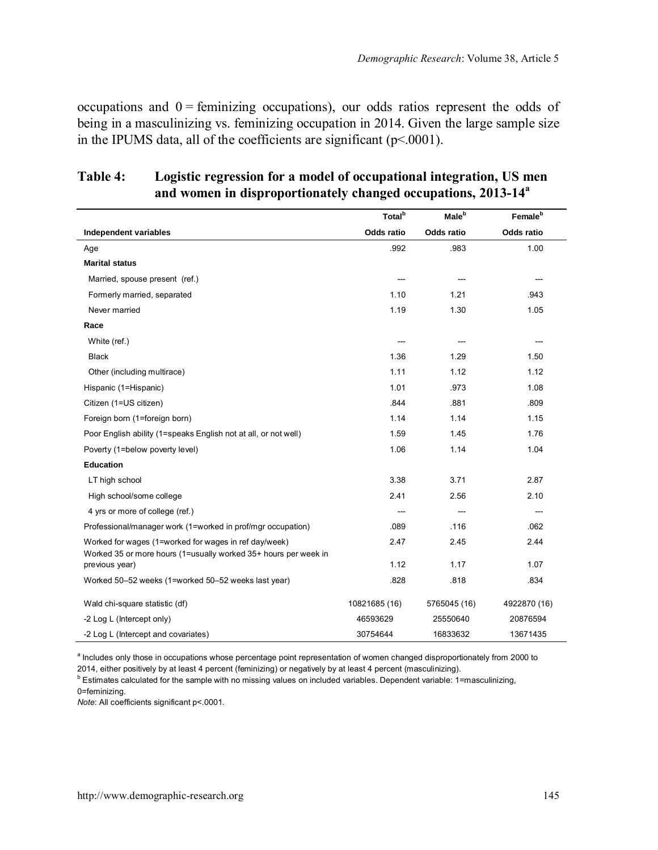occupations and  $0 =$  feminizing occupations), our odds ratios represent the odds of being in a masculinizing vs. feminizing occupation in 2014. Given the large sample size in the IPUMS data, all of the coefficients are significant ( $p$ <.0001).

|                                                                                   | Total <sup>b</sup> | <b>Male</b> <sup>b</sup> | Female <sup>b</sup> |
|-----------------------------------------------------------------------------------|--------------------|--------------------------|---------------------|
| Independent variables                                                             | Odds ratio         | Odds ratio               | Odds ratio          |
| Age                                                                               | .992               | .983                     | 1.00                |
| <b>Marital status</b>                                                             |                    |                          |                     |
| Married, spouse present (ref.)                                                    | ---                |                          |                     |
| Formerly married, separated                                                       | 1.10               | 1.21                     | .943                |
| Never married                                                                     | 1.19               | 1.30                     | 1.05                |
| Race                                                                              |                    |                          |                     |
| White (ref.)                                                                      |                    |                          |                     |
| <b>Black</b>                                                                      | 1.36               | 1.29                     | 1.50                |
| Other (including multirace)                                                       | 1.11               | 1.12                     | 1.12                |
| Hispanic (1=Hispanic)                                                             | 1.01               | .973                     | 1.08                |
| Citizen (1=US citizen)                                                            | .844               | .881                     | .809                |
| Foreign born (1=foreign born)                                                     | 1.14               | 1.14                     | 1.15                |
| Poor English ability (1=speaks English not at all, or not well)                   | 1.59               | 1.45                     | 1.76                |
| Poverty (1=below poverty level)                                                   | 1.06               | 1.14                     | 1.04                |
| Education                                                                         |                    |                          |                     |
| LT high school                                                                    | 3.38               | 3.71                     | 2.87                |
| High school/some college                                                          | 2.41               | 2.56                     | 2.10                |
| 4 yrs or more of college (ref.)                                                   | $- - -$            | ---                      | ---                 |
| Professional/manager work (1=worked in prof/mgr occupation)                       | .089               | .116                     | .062                |
| Worked for wages (1=worked for wages in ref day/week)                             | 2.47               | 2.45                     | 2.44                |
| Worked 35 or more hours (1=usually worked 35+ hours per week in<br>previous year) | 1.12               | 1.17                     | 1.07                |
| Worked 50-52 weeks (1=worked 50-52 weeks last year)                               | .828               | .818                     | .834                |
|                                                                                   |                    |                          |                     |
| Wald chi-square statistic (df)                                                    | 10821685 (16)      | 5765045 (16)             | 4922870 (16)        |
| -2 Log L (Intercept only)                                                         | 46593629           | 25550640                 | 20876594            |
| -2 Log L (Intercept and covariates)                                               | 30754644           | 16833632                 | 13671435            |

### **Table 4: Logistic regression for a model of occupational integration, US men and women in disproportionately changed occupations, 2013-14<sup>a</sup>**

<sup>a</sup> Includes only those in occupations whose percentage point representation of women changed disproportionately from 2000 to 2014, either positively by at least 4 percent (feminizing) or negatively by at least 4 percent (masculinizing).

**<sup>b</sup>** Estimates calculated for the sample with no missing values on included variables. Dependent variable: 1=masculinizing,

0=feminizing.

*Note*: All coefficients significant p<.0001.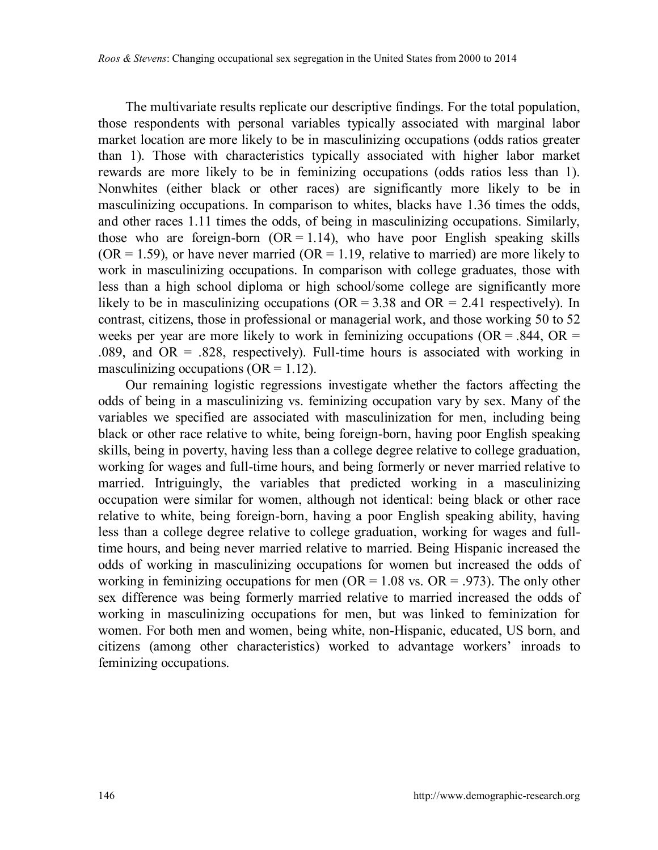The multivariate results replicate our descriptive findings. For the total population, those respondents with personal variables typically associated with marginal labor market location are more likely to be in masculinizing occupations (odds ratios greater than 1). Those with characteristics typically associated with higher labor market rewards are more likely to be in feminizing occupations (odds ratios less than 1). Nonwhites (either black or other races) are significantly more likely to be in masculinizing occupations. In comparison to whites, blacks have 1.36 times the odds, and other races 1.11 times the odds, of being in masculinizing occupations. Similarly, those who are foreign-born  $(OR = 1.14)$ , who have poor English speaking skills  $(OR = 1.59)$ , or have never married  $(OR = 1.19)$ , relative to married) are more likely to work in masculinizing occupations. In comparison with college graduates, those with less than a high school diploma or high school/some college are significantly more likely to be in masculinizing occupations ( $OR = 3.38$  and  $OR = 2.41$  respectively). In contrast, citizens, those in professional or managerial work, and those working 50 to 52 weeks per year are more likely to work in feminizing occupations ( $OR = .844$ ,  $OR =$ .089, and  $OR = .828$ , respectively). Full-time hours is associated with working in masculinizing occupations ( $OR = 1.12$ ).

Our remaining logistic regressions investigate whether the factors affecting the odds of being in a masculinizing vs. feminizing occupation vary by sex. Many of the variables we specified are associated with masculinization for men, including being black or other race relative to white, being foreign-born, having poor English speaking skills, being in poverty, having less than a college degree relative to college graduation, working for wages and full-time hours, and being formerly or never married relative to married. Intriguingly, the variables that predicted working in a masculinizing occupation were similar for women, although not identical: being black or other race relative to white, being foreign-born, having a poor English speaking ability, having less than a college degree relative to college graduation, working for wages and fulltime hours, and being never married relative to married. Being Hispanic increased the odds of working in masculinizing occupations for women but increased the odds of working in feminizing occupations for men  $(OR = 1.08 \text{ vs. } OR = .973)$ . The only other sex difference was being formerly married relative to married increased the odds of working in masculinizing occupations for men, but was linked to feminization for women. For both men and women, being white, non-Hispanic, educated, US born, and citizens (among other characteristics) worked to advantage workers' inroads to feminizing occupations.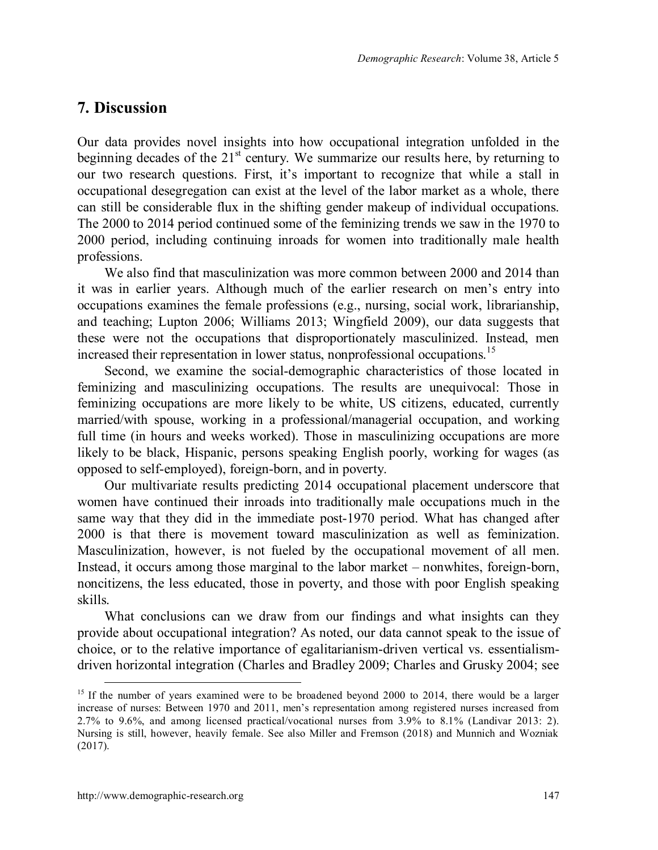## **7. Discussion**

Our data provides novel insights into how occupational integration unfolded in the beginning decades of the  $21<sup>st</sup>$  century. We summarize our results here, by returning to our two research questions. First, it's important to recognize that while a stall in occupational desegregation can exist at the level of the labor market as a whole, there can still be considerable flux in the shifting gender makeup of individual occupations. The 2000 to 2014 period continued some of the feminizing trends we saw in the 1970 to 2000 period, including continuing inroads for women into traditionally male health professions.

We also find that masculinization was more common between 2000 and 2014 than it was in earlier years. Although much of the earlier research on men's entry into occupations examines the female professions (e.g., nursing, social work, librarianship, and teaching; Lupton 2006; Williams 2013; Wingfield 2009), our data suggests that these were not the occupations that disproportionately masculinized. Instead, men increased their representation in lower status, nonprofessional occupations.<sup>1[5](#page-22-0)</sup>

Second, we examine the social-demographic characteristics of those located in feminizing and masculinizing occupations. The results are unequivocal: Those in feminizing occupations are more likely to be white, US citizens, educated, currently married/with spouse, working in a professional/managerial occupation, and working full time (in hours and weeks worked). Those in masculinizing occupations are more likely to be black, Hispanic, persons speaking English poorly, working for wages (as opposed to self-employed), foreign-born, and in poverty.

Our multivariate results predicting 2014 occupational placement underscore that women have continued their inroads into traditionally male occupations much in the same way that they did in the immediate post-1970 period. What has changed after 2000 is that there is movement toward masculinization as well as feminization. Masculinization, however, is not fueled by the occupational movement of all men. Instead, it occurs among those marginal to the labor market – nonwhites, foreign-born, noncitizens, the less educated, those in poverty, and those with poor English speaking skills.

What conclusions can we draw from our findings and what insights can they provide about occupational integration? As noted, our data cannot speak to the issue of choice, or to the relative importance of egalitarianism-driven vertical vs. essentialismdriven horizontal integration (Charles and Bradley 2009; Charles and Grusky 2004; see

<span id="page-22-0"></span><sup>&</sup>lt;sup>15</sup> If the number of years examined were to be broadened beyond 2000 to 2014, there would be a larger increase of nurses: Between 1970 and 2011, men's representation among registered nurses increased from 2.7% to 9.6%, and among licensed practical/vocational nurses from 3.9% to 8.1% (Landivar 2013: 2). Nursing is still, however, heavily female. See also Miller and Fremson (2018) and Munnich and Wozniak (2017).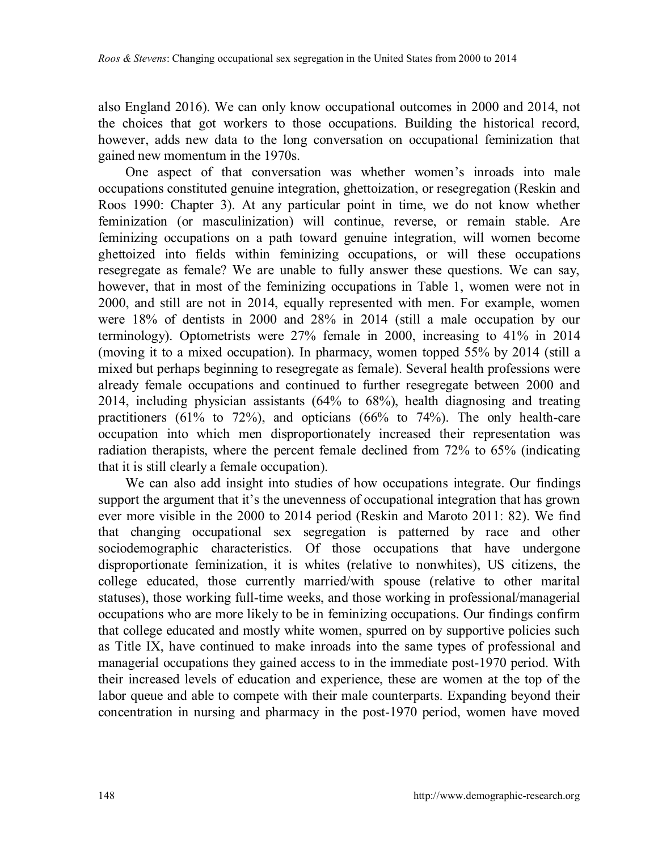also England 2016). We can only know occupational outcomes in 2000 and 2014, not the choices that got workers to those occupations. Building the historical record, however, adds new data to the long conversation on occupational feminization that gained new momentum in the 1970s.

One aspect of that conversation was whether women's inroads into male occupations constituted genuine integration, ghettoization, or resegregation (Reskin and Roos 1990: Chapter 3). At any particular point in time, we do not know whether feminization (or masculinization) will continue, reverse, or remain stable. Are feminizing occupations on a path toward genuine integration, will women become ghettoized into fields within feminizing occupations, or will these occupations resegregate as female? We are unable to fully answer these questions. We can say, however, that in most of the feminizing occupations in Table 1, women were not in 2000, and still are not in 2014, equally represented with men. For example, women were 18% of dentists in 2000 and 28% in 2014 (still a male occupation by our terminology). Optometrists were 27% female in 2000, increasing to 41% in 2014 (moving it to a mixed occupation). In pharmacy, women topped 55% by 2014 (still a mixed but perhaps beginning to resegregate as female). Several health professions were already female occupations and continued to further resegregate between 2000 and 2014, including physician assistants (64% to 68%), health diagnosing and treating practitioners (61% to 72%), and opticians (66% to 74%). The only health-care occupation into which men disproportionately increased their representation was radiation therapists, where the percent female declined from 72% to 65% (indicating that it is still clearly a female occupation).

We can also add insight into studies of how occupations integrate. Our findings support the argument that it's the unevenness of occupational integration that has grown ever more visible in the 2000 to 2014 period (Reskin and Maroto 2011: 82). We find that changing occupational sex segregation is patterned by race and other sociodemographic characteristics. Of those occupations that have undergone disproportionate feminization, it is whites (relative to nonwhites), US citizens, the college educated, those currently married/with spouse (relative to other marital statuses), those working full-time weeks, and those working in professional/managerial occupations who are more likely to be in feminizing occupations. Our findings confirm that college educated and mostly white women, spurred on by supportive policies such as Title IX, have continued to make inroads into the same types of professional and managerial occupations they gained access to in the immediate post-1970 period. With their increased levels of education and experience, these are women at the top of the labor queue and able to compete with their male counterparts. Expanding beyond their concentration in nursing and pharmacy in the post-1970 period, women have moved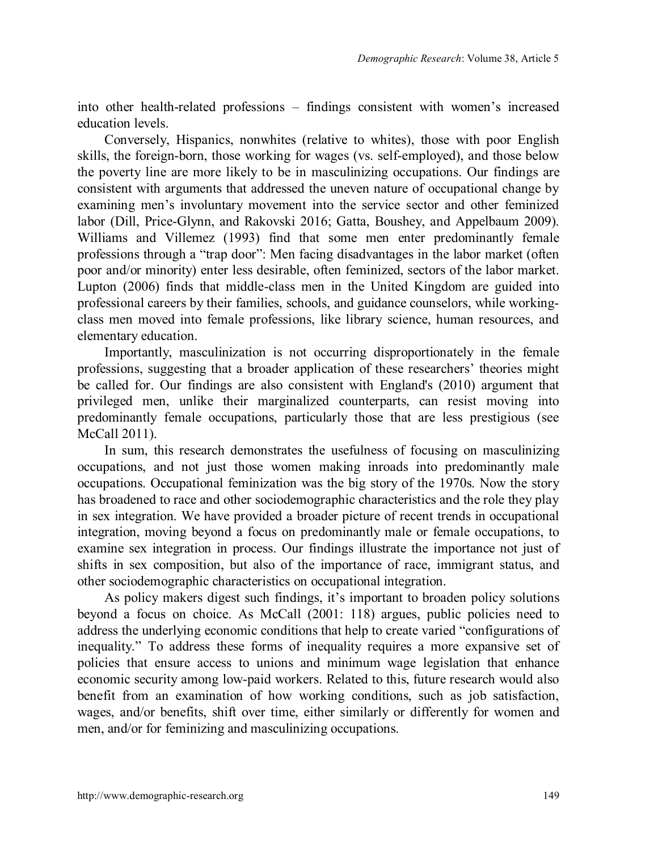into other health-related professions – findings consistent with women's increased education levels.

Conversely, Hispanics, nonwhites (relative to whites), those with poor English skills, the foreign-born, those working for wages (vs. self-employed), and those below the poverty line are more likely to be in masculinizing occupations. Our findings are consistent with arguments that addressed the uneven nature of occupational change by examining men's involuntary movement into the service sector and other feminized labor (Dill, Price-Glynn, and Rakovski 2016; Gatta, Boushey, and Appelbaum 2009). Williams and Villemez (1993) find that some men enter predominantly female professions through a "trap door": Men facing disadvantages in the labor market (often poor and/or minority) enter less desirable, often feminized, sectors of the labor market. Lupton (2006) finds that middle-class men in the United Kingdom are guided into professional careers by their families, schools, and guidance counselors, while workingclass men moved into female professions, like library science, human resources, and elementary education.

Importantly, masculinization is not occurring disproportionately in the female professions, suggesting that a broader application of these researchers' theories might be called for. Our findings are also consistent with England's (2010) argument that privileged men, unlike their marginalized counterparts, can resist moving into predominantly female occupations, particularly those that are less prestigious (see McCall 2011).

In sum, this research demonstrates the usefulness of focusing on masculinizing occupations, and not just those women making inroads into predominantly male occupations. Occupational feminization was the big story of the 1970s. Now the story has broadened to race and other sociodemographic characteristics and the role they play in sex integration. We have provided a broader picture of recent trends in occupational integration, moving beyond a focus on predominantly male or female occupations, to examine sex integration in process. Our findings illustrate the importance not just of shifts in sex composition, but also of the importance of race, immigrant status, and other sociodemographic characteristics on occupational integration.

As policy makers digest such findings, it's important to broaden policy solutions beyond a focus on choice. As McCall (2001: 118) argues, public policies need to address the underlying economic conditions that help to create varied "configurations of inequality." To address these forms of inequality requires a more expansive set of policies that ensure access to unions and minimum wage legislation that enhance economic security among low-paid workers. Related to this, future research would also benefit from an examination of how working conditions, such as job satisfaction, wages, and/or benefits, shift over time, either similarly or differently for women and men, and/or for feminizing and masculinizing occupations.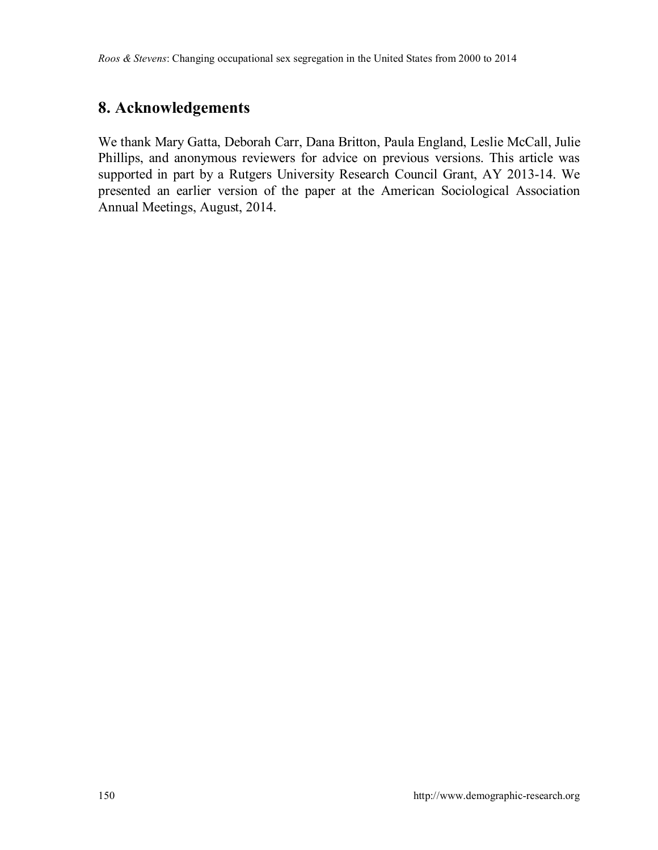*Roos & Stevens*: Changing occupational sex segregation in the United States from 2000 to 2014

# **8. Acknowledgements**

We thank Mary Gatta, Deborah Carr, Dana Britton, Paula England, Leslie McCall, Julie Phillips, and anonymous reviewers for advice on previous versions. This article was supported in part by a Rutgers University Research Council Grant, AY 2013-14. We presented an earlier version of the paper at the American Sociological Association Annual Meetings, August, 2014.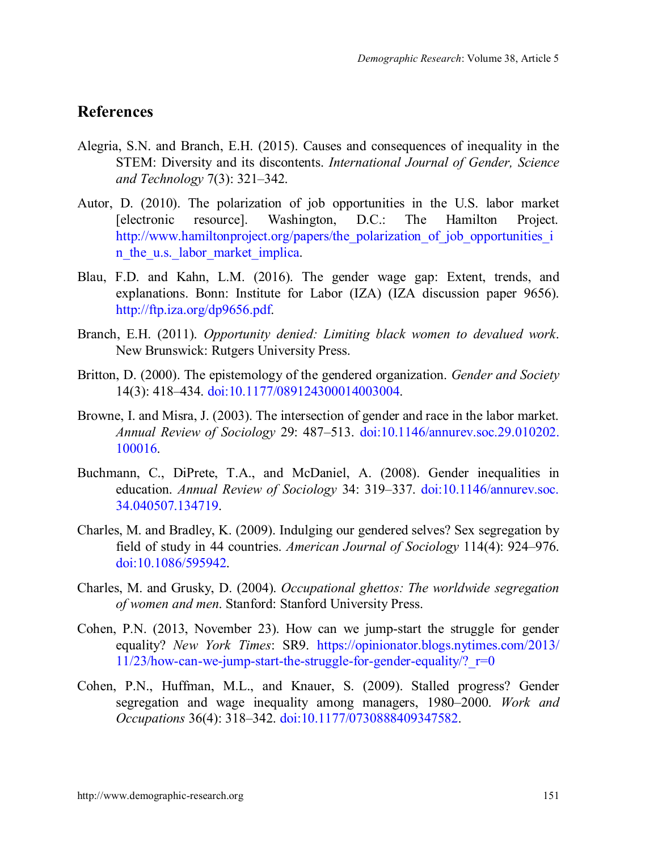### **References**

- Alegria, S.N. and Branch, E.H. (2015). Causes and consequences of inequality in the STEM: Diversity and its discontents. *International Journal of Gender, Science and Technology* 7(3): 321‒342.
- Autor, D. (2010). The polarization of job opportunities in the U.S. labor market [electronic resource]. Washington, D.C.: The Hamilton Project. [http://www.hamiltonproject.org/papers/the\\_polarization\\_of\\_job\\_opportunities\\_i](http://www.hamiltonproject.org/papers/the_polarization_of_job_opportunities_in_the_u.s._labor_market_implica) n the u.s. labor market implica.
- Blau, F.D. and Kahn, L.M. (2016). The gender wage gap: Extent, trends, and explanations. Bonn: Institute for Labor (IZA) (IZA discussion paper 9656). [http://ftp.iza.org/dp9656.pdf.](http://ftp.iza.org/dp9656.pdf)
- Branch, E.H. (2011). *Opportunity denied: Limiting black women to devalued work*. New Brunswick: Rutgers University Press.
- Britton, D. (2000). The epistemology of the gendered organization. *Gender and Society* 14(3): 418‒434. [doi:10.1177/089124300014003004.](https://doi.org/10.1177/089124300014003004)
- Browne, I. and Misra, J. (2003). The intersection of gender and race in the labor market. *Annual Review of Sociology* 29: 487‒513. [doi:10.1146/annurev.soc.29.010202.](https://doi.org/10.1146/annurev.soc.29.010202.100016) [100016.](https://doi.org/10.1146/annurev.soc.29.010202.100016)
- Buchmann, C., DiPrete, T.A., and McDaniel, A. (2008). Gender inequalities in education. *Annual Review of Sociology* 34: 319‒337. [doi:10.1146/annurev.soc.](https://doi.org/10.1146/annurev.soc.34.040507.134719) [34.040507.134719.](https://doi.org/10.1146/annurev.soc.34.040507.134719)
- Charles, M. and Bradley, K. (2009). Indulging our gendered selves? Sex segregation by field of study in 44 countries. *American Journal of Sociology* 114(4): 924–976. [doi:10.1086/595942.](https://doi.org/10.1086/595942)
- Charles, M. and Grusky, D. (2004). *Occupational ghettos: The worldwide segregation of women and men*. Stanford: Stanford University Press.
- Cohen, P.N. (2013, November 23). How can we jump-start the struggle for gender equality? *New York Times*: SR9. [https://opinionator.blogs.nytimes.com/2013/](https://opinionator.blogs.nytimes.com/2013/11/23/how-can-we-jump-start-the-struggle-for-gender-equality/?_r=0)  $11/23/how-can-we-jump-start-the-struggle-for-gender-equality?  $r=0$$
- Cohen, P.N., Huffman, M.L., and Knauer, S. (2009). Stalled progress? Gender segregation and wage inequality among managers, 1980–2000. *Work and Occupations* 36(4): 318‒342. [doi:10.1177/0730888409347582.](https://doi.org/10.1177/0730888409347582)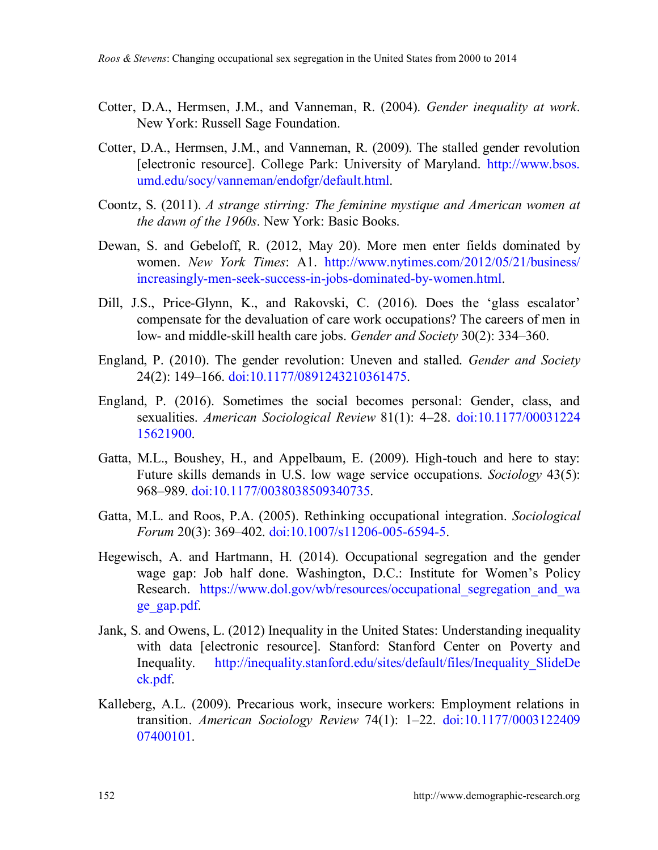- Cotter, D.A., Hermsen, J.M., and Vanneman, R. (2004). *Gender inequality at work*. New York: Russell Sage Foundation.
- Cotter, D.A., Hermsen, J.M., and Vanneman, R. (2009). The stalled gender revolution [electronic resource]. College Park: University of Maryland. [http://www.bsos.](http://www.bsos.umd.edu/socy/vanneman/endofgr/default.html) [umd.edu/socy/vanneman/endofgr/default.html.](http://www.bsos.umd.edu/socy/vanneman/endofgr/default.html)
- Coontz, S. (2011). *A strange stirring: The feminine mystique and American women at the dawn of the 1960s*. New York: Basic Books.
- Dewan, S. and Gebeloff, R. (2012, May 20). More men enter fields dominated by women. *New York Times*: A1. [http://www.nytimes.com/2012/05/21/business/](http://www.nytimes.com/2012/05/21/business/increasingly-men-seek-success-in-jobs-dominated-by-women.html?adxnnl=1&smid=fb-share&adxnnlx=1337779596-TKvyjvP6wXrsSHRzBeNmUg) [increasingly-men-seek-success-in-jobs-dominated-by-women.html.](http://www.nytimes.com/2012/05/21/business/increasingly-men-seek-success-in-jobs-dominated-by-women.html?adxnnl=1&smid=fb-share&adxnnlx=1337779596-TKvyjvP6wXrsSHRzBeNmUg)
- Dill, J.S., Price-Glynn, K., and Rakovski, C. (2016). Does the 'glass escalator' compensate for the devaluation of care work occupations? The careers of men in low- and middle-skill health care jobs. *Gender and Society* 30(2): 334–360.
- England, P. (2010). The gender revolution: Uneven and stalled. *Gender and Society* 24(2): 149‒166. [doi:10.1177/0891243210361475.](https://doi.org/10.1177/0891243210361475)
- England, P. (2016). Sometimes the social becomes personal: Gender, class, and sexualities. *American Sociological Review* 81(1): 4‒28. [doi:10.1177/00031224](https://doi.org/10.1177/0003122415621900) [15621900.](https://doi.org/10.1177/0003122415621900)
- Gatta, M.L., Boushey, H., and Appelbaum, E. (2009). High-touch and here to stay: Future skills demands in U.S. low wage service occupations. *Sociology* 43(5): 968-989. [doi:10.1177/0038038509340735.](https://doi.org/10.1177/0038038509340735)
- Gatta, M.L. and Roos, P.A. (2005). Rethinking occupational integration. *Sociological Forum* 20(3): 369‒402. [doi:10.1007/s11206-005-6594-5.](https://doi.org/10.1007/s11206-005-6594-5)
- Hegewisch, A. and Hartmann, H. (2014). Occupational segregation and the gender wage gap: Job half done. Washington, D.C.: Institute for Women's Policy Research. https://www.dol.gov/wb/resources/occupational segregation and wa [ge\\_gap.pdf.](https://www.dol.gov/wb/resources/occupational_segregation_and_wage_gap.pdf)
- Jank, S. and Owens, L. (2012) Inequality in the United States: Understanding inequality with data [electronic resource]. Stanford: Stanford Center on Poverty and Inequality. [http://inequality.stanford.edu/sites/default/files/Inequality\\_SlideDe](http://inequality.stanford.edu/sites/default/files/Inequality_SlideDeck.pdf) [ck.pdf.](http://inequality.stanford.edu/sites/default/files/Inequality_SlideDeck.pdf)
- Kalleberg, A.L. (2009). Precarious work, insecure workers: Employment relations in transition. *American Sociology Review* 74(1): 1‒22. [doi:10.1177/0003122409](https://doi.org/10.1177/000312240907400101) [07400101.](https://doi.org/10.1177/000312240907400101)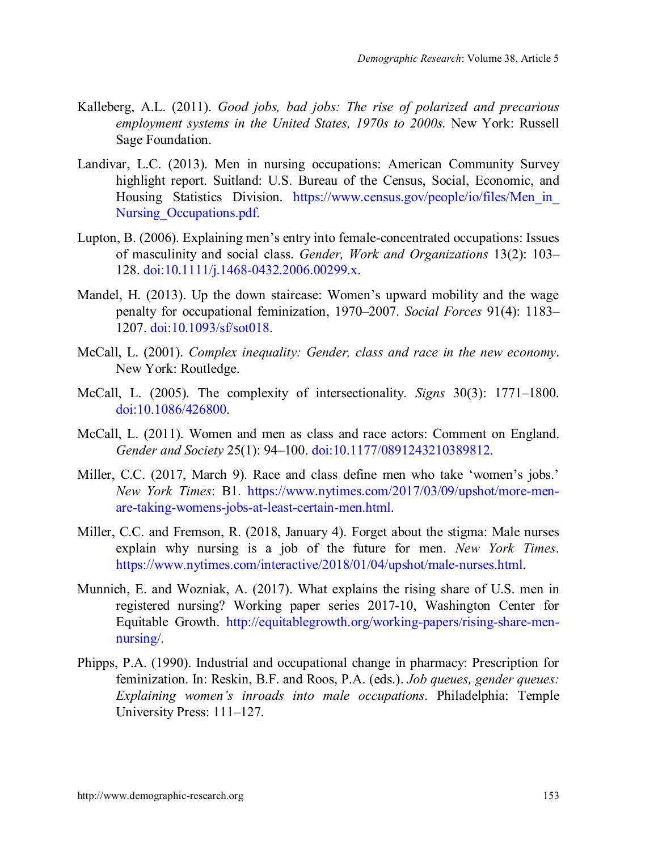- Kalleberg, A.L. (2011). *Good jobs, bad jobs: The rise of polarized and precarious employment systems in the United States, 1970s to 2000s*. New York: Russell Sage Foundation.
- Landivar, L.C. (2013). Men in nursing occupations: American Community Survey highlight report. Suitland: U.S. Bureau of the Census, Social, Economic, and Housing Statistics Division. [https://www.census.gov/people/io/files/Men\\_in\\_](https://www.census.gov/people/io/files/Men_in_Nursing_Occupations.pdf) Nursing Occupations.pdf.
- Lupton, B. (2006). Explaining men's entry into female-concentrated occupations: Issues of masculinity and social class. *Gender, Work and Organizations* 13(2): 103– 128. [doi:10.1111/j.1468-0432.2006.00299.x.](https://doi.org/10.1111/j.1468-0432.2006.00299.x)
- Mandel, H. (2013). Up the down staircase: Women's upward mobility and the wage penalty for occupational feminization, 1970–2007. *Social Forces* 91(4): 1183– 1207. [doi:10.1093/sf/sot018.](https://doi.org/10.1093/sf/sot018)
- McCall, L. (2001). *Complex inequality: Gender, class and race in the new economy*. New York: Routledge.
- McCall, L. (2005). The complexity of intersectionality. *Signs* 30(3): 1771–1800. [doi:10.1086/426800.](https://doi.org/10.1086/426800)
- McCall, L. (2011). Women and men as class and race actors: Comment on England. *Gender and Society* 25(1): 94‒100. [doi:10.1177/0891243210389812.](https://doi.org/10.1177/0891243210389812)
- Miller, C.C. (2017, March 9). Race and class define men who take 'women's jobs.' *New York Times*: B1. [https://www.nytimes.com/2017/03/09/upshot/more-men](https://www.nytimes.com/2017/03/09/upshot/more-men-are-taking-womens-jobs-at-least-certain-men.html?mwrsm=Facebook&_r=0)[are-taking-womens-jobs-at-least-certain-men.html.](https://www.nytimes.com/2017/03/09/upshot/more-men-are-taking-womens-jobs-at-least-certain-men.html?mwrsm=Facebook&_r=0)
- Miller, C.C. and Fremson, R. (2018, January 4). Forget about the stigma: Male nurses explain why nursing is a job of the future for men. *New York Times*. [https://www.nytimes.com/interactive/2018/01/04/upshot/male-nurses.html.](https://www.nytimes.com/interactive/2018/01/04/upshot/male-nurses.html)
- Munnich, E. and Wozniak, A. (2017). What explains the rising share of U.S. men in registered nursing? Working paper series 2017-10, Washington Center for Equitable Growth. [http://equitablegrowth.org/working-papers/rising-share-men](http://equitablegrowth.org/working-papers/rising-share-men-nursing/)[nursing/.](http://equitablegrowth.org/working-papers/rising-share-men-nursing/)
- Phipps, P.A. (1990). Industrial and occupational change in pharmacy: Prescription for feminization. In: Reskin, B.F. and Roos, P.A. (eds.). *Job queues, gender queues: Explaining women's inroads into male occupations*. Philadelphia: Temple University Press: 111-127.